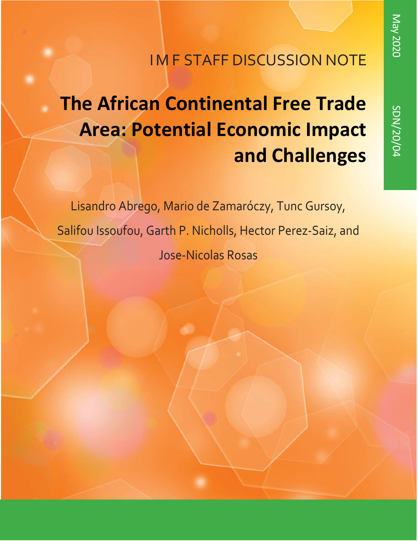## **IM F STAFF DISCUSSION NOTE**

# **The African Continental Free Trade Area: Potential Economic Impact and Challenges**

Lisandro Abrego, Mario de Zamaróczy, Tunc Gursoy, Salifou Issoufou, Garth P. Nicholls, Hector Perez-Saiz, and Jose-Nicolas Rosas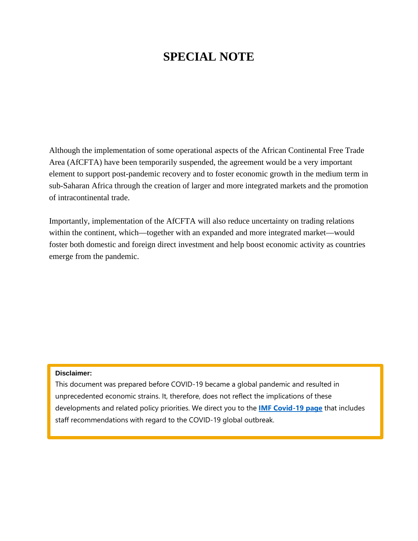## **SPECIAL NOTE**

Although the implementation of some operational aspects of the African Continental Free Trade Area (AfCFTA) have been temporarily suspended, the agreement would be a very important element to support post-pandemic recovery and to foster economic growth in the medium term in sub-Saharan Africa through the creation of larger and more integrated markets and the promotion of intracontinental trade.

Importantly, implementation of the AfCFTA will also reduce uncertainty on trading relations within the continent, which—together with an expanded and more integrated market—would foster both domestic and foreign direct investment and help boost economic activity as countries emerge from the pandemic.

#### **Disclaimer:**

This document was prepared before COVID-19 became a global pandemic and resulted in unprecedented economic strains. It, therefore, does not reflect the implications of these developments and related policy priorities. We direct you to the **[IMF Covid-19](https://www.imf.org/en/Topics/imf-and-covid19) page** that includes staff recommendations with regard to the COVID-19 global outbreak.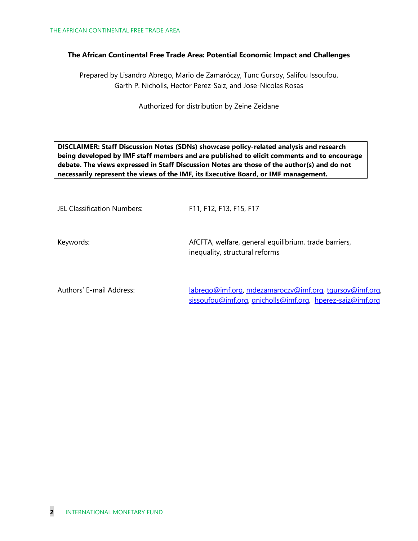#### **The African Continental Free Trade Area: Potential Economic Impact and Challenges**

Prepared by Lisandro Abrego, Mario de Zamaróczy, Tunc Gursoy, Salifou Issoufou, Garth P. Nicholls, Hector Perez-Saiz, and Jose-Nicolas Rosas

Authorized for distribution by Zeine Zeidane

**DISCLAIMER: Staff Discussion Notes (SDNs) showcase policy-related analysis and research being developed by IMF staff members and are published to elicit comments and to encourage debate. The views expressed in Staff Discussion Notes are those of the author(s) and do not necessarily represent the views of the IMF, its Executive Board, or IMF management.**

| JEL Classification Numbers: | F11, F12, F13, F15, F17                                                                 |
|-----------------------------|-----------------------------------------------------------------------------------------|
| Keywords:                   | AfCFTA, welfare, general equilibrium, trade barriers,<br>inequality, structural reforms |
| $\Lambda$ $\Lambda$         | $lahvege@limfew@mapge@limadzegege@limfew@mapeq@limfew@mapeq@limf@sup>$                  |

Authors' E-mail Address: [labrego@imf.org,](mailto:labrego@imf.org) [mdezamaroczy@imf.org,](mailto:mdezamaroczy@imf.org) [tgursoy@imf.org,](mailto:tgursoy@imf.org) [sissoufou@imf.org,](mailto:sissoufou@imf.org) [gnicholls@imf.org,](mailto:gnicholls@imf.org) [hperez-saiz@imf.org](mailto:hperez-saiz@imf.org)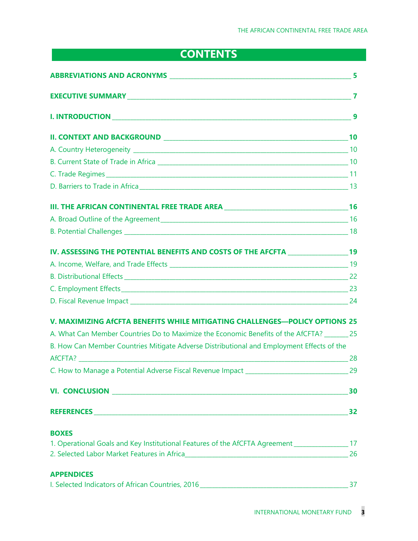## **CONTENTS**

| IV. ASSESSING THE POTENTIAL BENEFITS AND COSTS OF THE AFCFTA ___________________19                  |  |
|-----------------------------------------------------------------------------------------------------|--|
|                                                                                                     |  |
|                                                                                                     |  |
|                                                                                                     |  |
|                                                                                                     |  |
| V. MAXIMIZING AfCFTA BENEFITS WHILE MITIGATING CHALLENGES-POLICY OPTIONS 25                         |  |
| A. What Can Member Countries Do to Maximize the Economic Benefits of the AfCFTA? ________ 25        |  |
| B. How Can Member Countries Mitigate Adverse Distributional and Employment Effects of the           |  |
|                                                                                                     |  |
|                                                                                                     |  |
|                                                                                                     |  |
|                                                                                                     |  |
| <b>BOXES</b>                                                                                        |  |
| 1. Operational Goals and Key Institutional Features of the AfCFTA Agreement _____________________17 |  |
| 26 2. Selected Labor Market Features in Africa___________________________________                   |  |
| <b>APPENDICES</b>                                                                                   |  |
|                                                                                                     |  |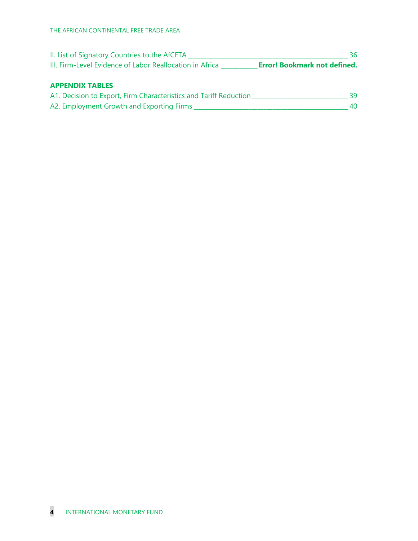| II. List of Signatory Countries to the AfCFTA            |                                     |
|----------------------------------------------------------|-------------------------------------|
| III. Firm-Level Evidence of Labor Reallocation in Africa | <b>Error! Bookmark not defined.</b> |

#### **APPENDIX TABLES**

| A1. Decision to Export, Firm Characteristics and Tariff Reduction |  |
|-------------------------------------------------------------------|--|
| A2. Employment Growth and Exporting Firms                         |  |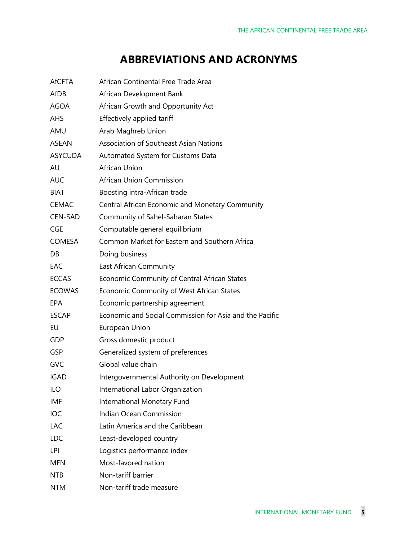## **ABBREVIATIONS AND ACRONYMS**

| <b>AfCFTA</b>  | African Continental Free Trade Area                     |
|----------------|---------------------------------------------------------|
| AfDB           | African Development Bank                                |
| <b>AGOA</b>    | African Growth and Opportunity Act                      |
| <b>AHS</b>     | Effectively applied tariff                              |
| AMU            | Arab Maghreb Union                                      |
| ASEAN          | <b>Association of Southeast Asian Nations</b>           |
| <b>ASYCUDA</b> | Automated System for Customs Data                       |
| AU             | African Union                                           |
| <b>AUC</b>     | African Union Commission                                |
| <b>BIAT</b>    | Boosting intra-African trade                            |
| <b>CEMAC</b>   | Central African Economic and Monetary Community         |
| CEN-SAD        | Community of Sahel-Saharan States                       |
| CGE            | Computable general equilibrium                          |
| COMESA         | Common Market for Eastern and Southern Africa           |
| DB             | Doing business                                          |
| EAC            | East African Community                                  |
| <b>ECCAS</b>   | Economic Community of Central African States            |
| <b>ECOWAS</b>  | Economic Community of West African States               |
| <b>EPA</b>     | Economic partnership agreement                          |
| <b>ESCAP</b>   | Economic and Social Commission for Asia and the Pacific |
| EU             | European Union                                          |
| <b>GDP</b>     | Gross domestic product                                  |
| <b>GSP</b>     | Generalized system of preferences                       |
| <b>GVC</b>     | Global value chain                                      |
| <b>IGAD</b>    | Intergovernmental Authority on Development              |
| <b>ILO</b>     | International Labor Organization                        |
| <b>IMF</b>     | International Monetary Fund                             |
| IOC            | Indian Ocean Commission                                 |
| LAC            | Latin America and the Caribbean                         |
| <b>LDC</b>     | Least-developed country                                 |
| LPI            | Logistics performance index                             |
| <b>MFN</b>     | Most-favored nation                                     |
| <b>NTB</b>     | Non-tariff barrier                                      |
| <b>NTM</b>     | Non-tariff trade measure                                |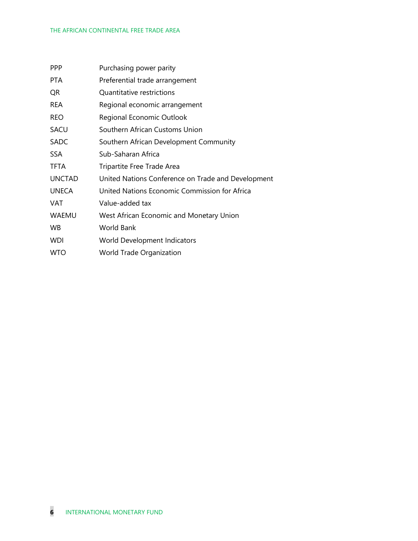| <b>PPP</b>    | Purchasing power parity                            |
|---------------|----------------------------------------------------|
| PTA.          | Preferential trade arrangement                     |
| QR            | Quantitative restrictions                          |
| <b>REA</b>    | Regional economic arrangement                      |
| <b>REO</b>    | Regional Economic Outlook                          |
| SACU          | Southern African Customs Union                     |
| <b>SADC</b>   | Southern African Development Community             |
| <b>SSA</b>    | Sub-Saharan Africa                                 |
| TFTA          | Tripartite Free Trade Area                         |
| <b>UNCTAD</b> | United Nations Conference on Trade and Development |
| <b>UNECA</b>  | United Nations Economic Commission for Africa      |
| VAT           | Value-added tax                                    |
| WAEMU         | West African Economic and Monetary Union           |
| <b>WB</b>     | World Bank                                         |
| <b>WDI</b>    | World Development Indicators                       |
| <b>WTO</b>    | World Trade Organization                           |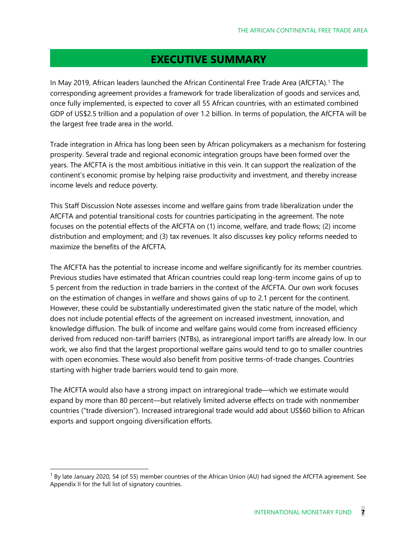## **EXECUTIVE SUMMARY**

In May 2019, African leaders launched the African Continental Free Trade Area (AfCFTA). [1](#page-7-0) The corresponding agreement provides a framework for trade liberalization of goods and services and, once fully implemented, is expected to cover all 55 African countries, with an estimated combined GDP of US\$2.5 trillion and a population of over 1.2 billion. In terms of population, the AfCFTA will be the largest free trade area in the world.

Trade integration in Africa has long been seen by African policymakers as a mechanism for fostering prosperity. Several trade and regional economic integration groups have been formed over the years. The AfCFTA is the most ambitious initiative in this vein. It can support the realization of the continent's economic promise by helping raise productivity and investment, and thereby increase income levels and reduce poverty.

This Staff Discussion Note assesses income and welfare gains from trade liberalization under the AfCFTA and potential transitional costs for countries participating in the agreement. The note focuses on the potential effects of the AfCFTA on (1) income, welfare, and trade flows; (2) income distribution and employment; and (3) tax revenues. It also discusses key policy reforms needed to maximize the benefits of the AfCFTA.

The AfCFTA has the potential to increase income and welfare significantly for its member countries. Previous studies have estimated that African countries could reap long-term income gains of up to 5 percent from the reduction in trade barriers in the context of the AfCFTA. Our own work focuses on the estimation of changes in welfare and shows gains of up to 2.1 percent for the continent. However, these could be substantially underestimated given the static nature of the model, which does not include potential effects of the agreement on increased investment, innovation, and knowledge diffusion. The bulk of income and welfare gains would come from increased efficiency derived from reduced non-tariff barriers (NTBs), as intraregional import tariffs are already low. In our work, we also find that the largest proportional welfare gains would tend to go to smaller countries with open economies. These would also benefit from positive terms-of-trade changes. Countries starting with higher trade barriers would tend to gain more.

The AfCFTA would also have a strong impact on intraregional trade—which we estimate would expand by more than 80 percent—but relatively limited adverse effects on trade with nonmember countries ("trade diversion"). Increased intraregional trade would add about US\$60 billion to African exports and support ongoing diversification efforts.

<span id="page-7-0"></span> $1$  By late January 2020, 54 (of 55) member countries of the African Union (AU) had signed the AfCFTA agreement. See Appendix II for the full list of signatory countries.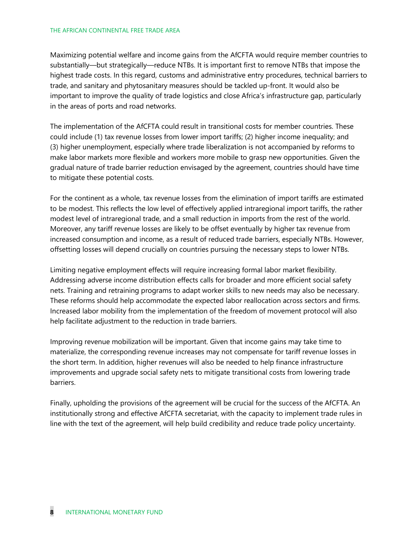#### THE AFRICAN CONTINENTAL FREE TRADE AREA

Maximizing potential welfare and income gains from the AfCFTA would require member countries to substantially—but strategically—reduce NTBs. It is important first to remove NTBs that impose the highest trade costs. In this regard, customs and administrative entry procedures, technical barriers to trade, and sanitary and phytosanitary measures should be tackled up-front. It would also be important to improve the quality of trade logistics and close Africa's infrastructure gap, particularly in the areas of ports and road networks.

The implementation of the AfCFTA could result in transitional costs for member countries. These could include (1) tax revenue losses from lower import tariffs; (2) higher income inequality; and (3) higher unemployment, especially where trade liberalization is not accompanied by reforms to make labor markets more flexible and workers more mobile to grasp new opportunities. Given the gradual nature of trade barrier reduction envisaged by the agreement, countries should have time to mitigate these potential costs.

For the continent as a whole, tax revenue losses from the elimination of import tariffs are estimated to be modest. This reflects the low level of effectively applied intraregional import tariffs, the rather modest level of intraregional trade, and a small reduction in imports from the rest of the world. Moreover, any tariff revenue losses are likely to be offset eventually by higher tax revenue from increased consumption and income, as a result of reduced trade barriers, especially NTBs. However, offsetting losses will depend crucially on countries pursuing the necessary steps to lower NTBs.

Limiting negative employment effects will require increasing formal labor market flexibility. Addressing adverse income distribution effects calls for broader and more efficient social safety nets. Training and retraining programs to adapt worker skills to new needs may also be necessary. These reforms should help accommodate the expected labor reallocation across sectors and firms. Increased labor mobility from the implementation of the freedom of movement protocol will also help facilitate adjustment to the reduction in trade barriers.

Improving revenue mobilization will be important. Given that income gains may take time to materialize, the corresponding revenue increases may not compensate for tariff revenue losses in the short term. In addition, higher revenues will also be needed to help finance infrastructure improvements and upgrade social safety nets to mitigate transitional costs from lowering trade barriers.

Finally, upholding the provisions of the agreement will be crucial for the success of the AfCFTA. An institutionally strong and effective AfCFTA secretariat, with the capacity to implement trade rules in line with the text of the agreement, will help build credibility and reduce trade policy uncertainty.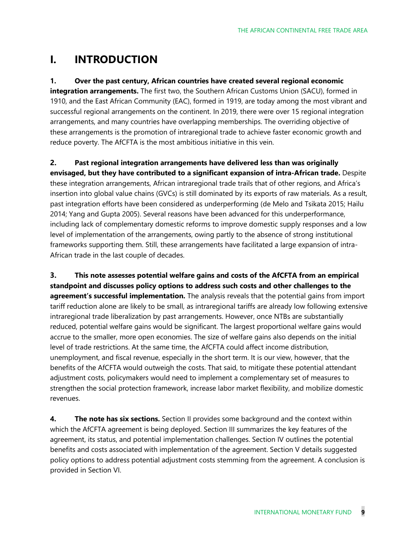## **I. INTRODUCTION**

**1. Over the past century, African countries have created several regional economic** 

**integration arrangements.** The first two, the Southern African Customs Union (SACU), formed in 1910, and the East African Community (EAC), formed in 1919, are today among the most vibrant and successful regional arrangements on the continent. In 2019, there were over 15 regional integration arrangements, and many countries have overlapping memberships. The overriding objective of these arrangements is the promotion of intraregional trade to achieve faster economic growth and reduce poverty. The AfCFTA is the most ambitious initiative in this vein.

**2. Past regional integration arrangements have delivered less than was originally envisaged, but they have contributed to a significant expansion of intra-African trade.** Despite these integration arrangements, African intraregional trade trails that of other regions, and Africa's insertion into global value chains (GVCs) is still dominated by its exports of raw materials. As a result, past integration efforts have been considered as underperforming (de Melo and Tsikata 2015; Hailu 2014; Yang and Gupta 2005). Several reasons have been advanced for this underperformance, including lack of complementary domestic reforms to improve domestic supply responses and a low level of implementation of the arrangements, owing partly to the absence of strong institutional frameworks supporting them. Still, these arrangements have facilitated a large expansion of intra-African trade in the last couple of decades.

**3. This note assesses potential welfare gains and costs of the AfCFTA from an empirical standpoint and discusses policy options to address such costs and other challenges to the agreement's successful implementation.** The analysis reveals that the potential gains from import tariff reduction alone are likely to be small, as intraregional tariffs are already low following extensive intraregional trade liberalization by past arrangements. However, once NTBs are substantially reduced, potential welfare gains would be significant. The largest proportional welfare gains would accrue to the smaller, more open economies. The size of welfare gains also depends on the initial level of trade restrictions. At the same time, the AfCFTA could affect income distribution, unemployment, and fiscal revenue, especially in the short term. It is our view, however, that the benefits of the AfCFTA would outweigh the costs. That said, to mitigate these potential attendant adjustment costs, policymakers would need to implement a complementary set of measures to strengthen the social protection framework, increase labor market flexibility, and mobilize domestic revenues.

**4. The note has six sections.** Section II provides some background and the context within which the AfCFTA agreement is being deployed. Section III summarizes the key features of the agreement, its status, and potential implementation challenges. Section IV outlines the potential benefits and costs associated with implementation of the agreement. Section V details suggested policy options to address potential adjustment costs stemming from the agreement. A conclusion is provided in Section VI.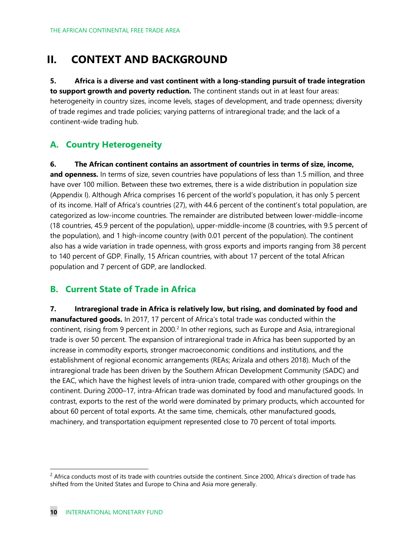## **II. CONTEXT AND BACKGROUND**

**5. Africa is a diverse and vast continent with a long-standing pursuit of trade integration to support growth and poverty reduction.** The continent stands out in at least four areas: heterogeneity in country sizes, income levels, stages of development, and trade openness; diversity of trade regimes and trade policies; varying patterns of intraregional trade; and the lack of a continent-wide trading hub.

### **A. Country Heterogeneity**

**6. The African continent contains an assortment of countries in terms of size, income, and openness.** In terms of size, seven countries have populations of less than 1.5 million, and three have over 100 million. Between these two extremes, there is a wide distribution in population size (Appendix I). Although Africa comprises 16 percent of the world's population, it has only 5 percent of its income. Half of Africa's countries (27), with 44.6 percent of the continent's total population, are categorized as low-income countries. The remainder are distributed between lower-middle-income (18 countries, 45.9 percent of the population), upper-middle-income (8 countries, with 9.5 percent of the population), and 1 high-income country (with 0.01 percent of the population). The continent also has a wide variation in trade openness, with gross exports and imports ranging from 38 percent to 140 percent of GDP. Finally, 15 African countries, with about 17 percent of the total African population and 7 percent of GDP, are landlocked.

### **B. Current State of Trade in Africa**

**7. Intraregional trade in Africa is relatively low, but rising, and dominated by food and manufactured goods.** In 2017, 17 percent of Africa's total trade was conducted within the continent, rising from 9 percent in [2](#page-10-0)000.<sup>2</sup> In other regions, such as Europe and Asia, intraregional trade is over 50 percent. The expansion of intraregional trade in Africa has been supported by an increase in commodity exports, stronger macroeconomic conditions and institutions, and the establishment of regional economic arrangements (REAs; Arizala and others 2018). Much of the intraregional trade has been driven by the Southern African Development Community (SADC) and the EAC, which have the highest levels of intra-union trade, compared with other groupings on the continent. During 2000–17, intra-African trade was dominated by food and manufactured goods. In contrast, exports to the rest of the world were dominated by primary products, which accounted for about 60 percent of total exports. At the same time, chemicals, other manufactured goods, machinery, and transportation equipment represented close to 70 percent of total imports.

<span id="page-10-0"></span> $2$  Africa conducts most of its trade with countries outside the continent. Since 2000, Africa's direction of trade has shifted from the United States and Europe to China and Asia more generally.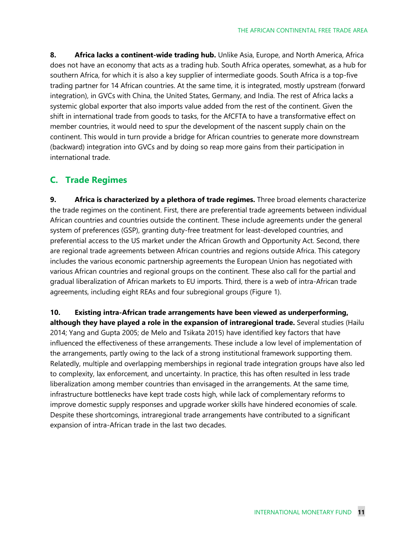**8. Africa lacks a continent-wide trading hub.** Unlike Asia, Europe, and North America, Africa does not have an economy that acts as a trading hub. South Africa operates, somewhat, as a hub for southern Africa, for which it is also a key supplier of intermediate goods. South Africa is a top-five trading partner for 14 African countries. At the same time, it is integrated, mostly upstream (forward integration), in GVCs with China, the United States, Germany, and India. The rest of Africa lacks a systemic global exporter that also imports value added from the rest of the continent. Given the shift in international trade from goods to tasks, for the AfCFTA to have a transformative effect on member countries, it would need to spur the development of the nascent supply chain on the continent. This would in turn provide a bridge for African countries to generate more downstream (backward) integration into GVCs and by doing so reap more gains from their participation in international trade.

### **C. Trade Regimes**

**9. Africa is characterized by a plethora of trade regimes.** Three broad elements characterize the trade regimes on the continent. First, there are preferential trade agreements between individual African countries and countries outside the continent. These include agreements under the general system of preferences (GSP), granting duty-free treatment for least-developed countries, and preferential access to the US market under the African Growth and Opportunity Act. Second, there are regional trade agreements between African countries and regions outside Africa. This category includes the various economic partnership agreements the European Union has negotiated with various African countries and regional groups on the continent. These also call for the partial and gradual liberalization of African markets to EU imports. Third, there is a web of intra-African trade agreements, including eight REAs and four subregional groups (Figure 1).

**10. Existing intra-African trade arrangements have been viewed as underperforming, although they have played a role in the expansion of intraregional trade.** Several studies (Hailu 2014; Yang and Gupta 2005; de Melo and Tsikata 2015) have identified key factors that have influenced the effectiveness of these arrangements. These include a low level of implementation of the arrangements, partly owing to the lack of a strong institutional framework supporting them. Relatedly, multiple and overlapping memberships in regional trade integration groups have also led to complexity, lax enforcement, and uncertainty. In practice, this has often resulted in less trade liberalization among member countries than envisaged in the arrangements. At the same time, infrastructure bottlenecks have kept trade costs high, while lack of complementary reforms to improve domestic supply responses and upgrade worker skills have hindered economies of scale. Despite these shortcomings, intraregional trade arrangements have contributed to a significant expansion of intra-African trade in the last two decades.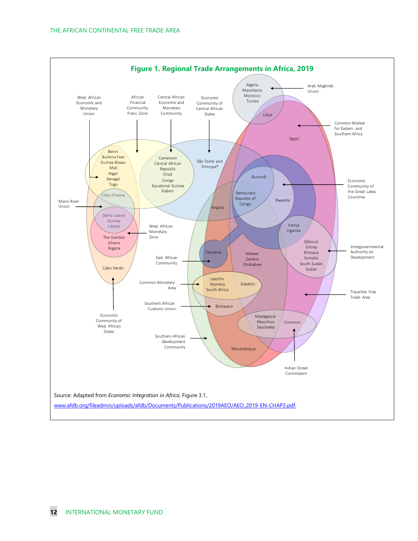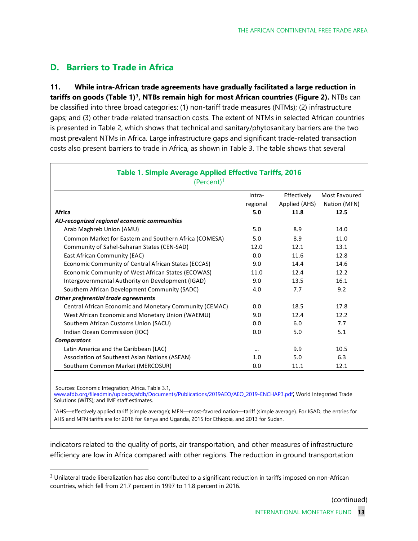### **D. Barriers to Trade in Africa**

**11. While intra-African trade agreements have gradually facilitated a large reduction in tariffs on goods (Table 1)[3,](#page-13-0) NTBs remain high for most African countries (Figure 2).** NTBs can be classified into three broad categories: (1) non-tariff trade measures (NTMs); (2) infrastructure gaps; and (3) other trade-related transaction costs. The extent of NTMs in selected African countries is presented in Table 2, which shows that technical and sanitary/phytosanitary barriers are the two most prevalent NTMs in Africa. Large infrastructure gaps and significant trade-related transaction costs also present barriers to trade in Africa, as shown in Table 3. The table shows that several

|                                                         | Intra-<br>regional | Effectively<br>Applied (AHS) | Most Favoured<br>Nation (MFN) |
|---------------------------------------------------------|--------------------|------------------------------|-------------------------------|
| Africa                                                  | 5.0                | 11.8                         | 12.5                          |
| AU-recognized regional economic communities             |                    |                              |                               |
| Arab Maghreb Union (AMU)                                | 5.0                | 8.9                          | 14.0                          |
| Common Market for Eastern and Southern Africa (COMESA)  | 5.0                | 8.9                          | 11.0                          |
| Community of Sahel-Saharan States (CEN-SAD)             | 12.0               | 12.1                         | 13.1                          |
| East African Community (EAC)                            | 0.0                | 11.6                         | 12.8                          |
| Economic Community of Central African States (ECCAS)    | 9.0                | 14.4                         | 14.6                          |
| Economic Community of West African States (ECOWAS)      | 11.0               | 12.4                         | 12.2                          |
| Intergovernmental Authority on Development (IGAD)       | 9.0                | 13.5                         | 16.1                          |
| Southern African Development Community (SADC)           | 4.0                | 7.7                          | 9.2                           |
| Other preferential trade agreements                     |                    |                              |                               |
| Central African Economic and Monetary Community (CEMAC) | 0.0                | 18.5                         | 17.8                          |
| West African Economic and Monetary Union (WAEMU)        | 9.0                | 12.4                         | 12.2                          |
| Southern African Customs Union (SACU)                   | 0.0                | 6.0                          | 7.7                           |
| Indian Ocean Commission (IOC)                           | 0.0                | 5.0                          | 5.1                           |
| <b>Comparators</b>                                      |                    |                              |                               |
| Latin America and the Caribbean (LAC)                   | $\cdots$           | 9.9                          | 10.5                          |
| Association of Southeast Asian Nations (ASEAN)          | 1.0                | 5.0                          | 6.3                           |
| Southern Common Market (MERCOSUR)                       | 0.0                | 11.1                         | 12.1                          |

Sources: Economic Integration; Africa, Table 3.1,

[www.afdb.org/fileadmin/uploads/afdb/Documents/Publications/2019AEO/AEO\\_2019-ENCHAP3.pdf;](http://www.afdb.org/fileadmin/uploads/afdb/Documents/Publications/2019AEO/AEO_2019-ENCHAP3.pdf) World Integrated Trade Solutions (WITS); and IMF staff estimates.

1 AHS—effectively applied tariff (simple average); MFN—most-favored nation—tariff (simple average). For IGAD, the entries for AHS and MFN tariffs are for 2016 for Kenya and Uganda, 2015 for Ethiopia, and 2013 for Sudan.

indicators related to the quality of ports, air transportation, and other measures of infrastructure efficiency are low in Africa compared with other regions. The reduction in ground transportation

(continued)

<span id="page-13-0"></span> $3$  Unilateral trade liberalization has also contributed to a significant reduction in tariffs imposed on non-African countries, which fell from 21.7 percent in 1997 to 11.8 percent in 2016.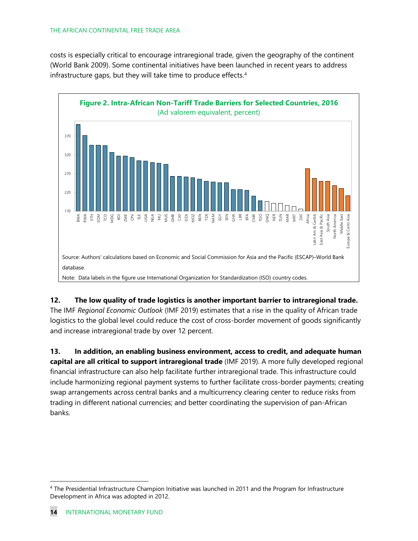#### THE AFRICAN CONTINENTAL FREE TRADE AREA

costs is especially critical to encourage intraregional trade, given the geography of the continent (World Bank 2009). Some continental initiatives have been launched in recent years to address infrastructure gaps, but they will take time to produce effects. [4](#page-14-0)



**12. The low quality of trade logistics is another important barrier to intraregional trade.** The IMF *Regional Economic Outlook* (IMF 2019) estimates that a rise in the quality of African trade logistics to the global level could reduce the cost of cross-border movement of goods significantly and increase intraregional trade by over 12 percent.

**13. In addition, an enabling business environment, access to credit, and adequate human capital are all critical to support intraregional trade** (IMF 2019). A more fully developed regional financial infrastructure can also help facilitate further intraregional trade. This infrastructure could include harmonizing regional payment systems to further facilitate cross-border payments; creating swap arrangements across central banks and a multicurrency clearing center to reduce risks from trading in different national currencies; and better coordinating the supervision of pan-African banks.

<span id="page-14-0"></span><sup>4</sup> The Presidential Infrastructure Champion Initiative was launched in 2011 and the Program for Infrastructure Development in Africa was adopted in 2012.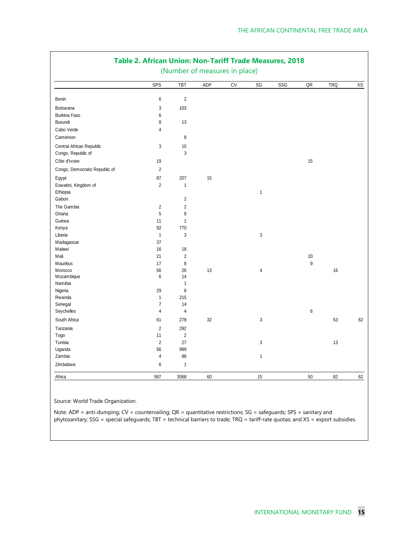|                               | (Number of measures in place) |                |     |            |                |     |                  |            |    |
|-------------------------------|-------------------------------|----------------|-----|------------|----------------|-----|------------------|------------|----|
|                               | SPS                           | TBT            | ADP | ${\rm CV}$ | SG             | SSG | ${\sf OR}$       | <b>TRQ</b> | XS |
| Benin                         | $\boldsymbol{6}$              | $\sqrt{2}$     |     |            |                |     |                  |            |    |
| Botswana                      | $\sqrt{3}$                    | 103            |     |            |                |     |                  |            |    |
| Burkina Faso                  | 6                             |                |     |            |                |     |                  |            |    |
| Burundi                       | 8                             | 13             |     |            |                |     |                  |            |    |
| Cabo Verde                    | $\sqrt{4}$                    |                |     |            |                |     |                  |            |    |
| Cameroon                      |                               | 8              |     |            |                |     |                  |            |    |
| Central African Republic      | $\mathfrak{Z}$                | $10$           |     |            |                |     |                  |            |    |
| Congo, Republic of            |                               | 3              |     |            |                |     |                  |            |    |
| Côte d'Ivoire                 | $19$                          |                |     |            |                |     | 15               |            |    |
| Congo, Democratic Republic of | $\overline{2}$                |                |     |            |                |     |                  |            |    |
| Egypt                         | 87                            | 207            | 15  |            |                |     |                  |            |    |
| Eswatini, Kingdom of          | $\overline{2}$                | $\mathbf{1}$   |     |            |                |     |                  |            |    |
| Ethiopia                      |                               |                |     |            | $\mathbf{1}$   |     |                  |            |    |
| Gabon                         |                               | $\overline{2}$ |     |            |                |     |                  |            |    |
| The Gambia                    | $\sqrt{2}$                    | $\overline{2}$ |     |            |                |     |                  |            |    |
| Ghana                         | 5                             | 9              |     |            |                |     |                  |            |    |
| Guinea                        | 11                            | $\mathbf{1}$   |     |            |                |     |                  |            |    |
| Kenya                         | 92                            | 770            |     |            |                |     |                  |            |    |
| Liberia                       | $\mathbf{1}$                  | 3              |     |            | $\sqrt{3}$     |     |                  |            |    |
| Madagascar                    | 37                            |                |     |            |                |     |                  |            |    |
| Malawi                        | 16                            | $18\,$         |     |            |                |     |                  |            |    |
| Mali                          | 21                            | $\overline{2}$ |     |            |                |     | $20\,$           |            |    |
| Mauritius                     | 17                            | 8              |     |            |                |     | 9                |            |    |
| Morocco                       | 56                            | 26             | 13  |            | $\overline{4}$ |     |                  | 16         |    |
| Mozambique                    | $\boldsymbol{6}$              | 14             |     |            |                |     |                  |            |    |
| Namibia                       |                               | $\mathbf{1}$   |     |            |                |     |                  |            |    |
| Nigeria                       | 29                            | 8              |     |            |                |     |                  |            |    |
| Rwanda                        | $\mathbf{1}$                  | 215            |     |            |                |     |                  |            |    |
| Senegal                       | $\overline{7}$                | 14             |     |            |                |     |                  |            |    |
| Seychelles                    | $\overline{4}$                | $\overline{4}$ |     |            |                |     | $\boldsymbol{6}$ |            |    |
| South Africa                  | 61                            | 278            | 32  |            | $\sqrt{3}$     |     |                  | 53         | 62 |
| Tanzania                      | $\overline{2}$                | 292            |     |            |                |     |                  |            |    |
| Togo                          | 11                            | $\overline{2}$ |     |            |                |     |                  |            |    |
| Tunisia                       | $\overline{2}$                | 27             |     |            | $\mathbf{3}$   |     |                  | 13         |    |
| Uganda                        | 56                            | 999            |     |            |                |     |                  |            |    |
| Zambia                        | $\overline{4}$                | 88             |     |            | $\mathbf{1}$   |     |                  |            |    |
| Zimbabwe                      | $\boldsymbol{6}$              | $\mathbf{1}$   |     |            |                |     |                  |            |    |
| Africa                        | 587                           | 3068           | 60  |            | 15             |     | 50               | 82         | 62 |

### **Table 2. African Union: Non-Tariff Trade Measures, 2018**

Source: World Trade Organization.

Note: ADP = anti-dumping; CV = countervailing; QR = quantitative restrictions; SG = safeguards; SPS = sanitary and phytosanitary; SSG = special safeguards; TBT = technical barriers to trade; TRQ = tariff-rate quotas; and XS = export subsidies.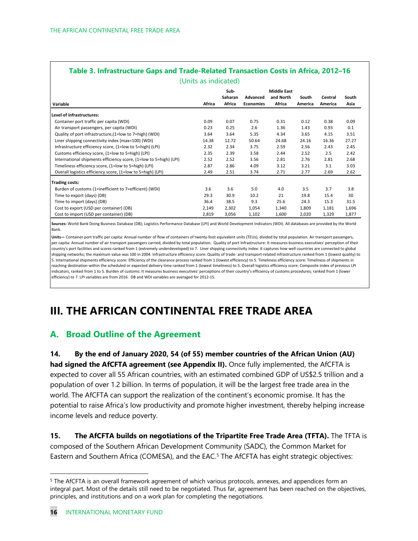| Table 3. Infrastructure Gaps and Trade-Related Transaction Costs in Africa, 2012-16 |        |                           |                              |                                           |                  |                    |               |  |
|-------------------------------------------------------------------------------------|--------|---------------------------|------------------------------|-------------------------------------------|------------------|--------------------|---------------|--|
| (Units as indicated)                                                                |        |                           |                              |                                           |                  |                    |               |  |
| Variable                                                                            | Africa | Sub-<br>Saharan<br>Africa | Advanced<br><b>Economies</b> | <b>Middle East</b><br>and North<br>Africa | South<br>America | Central<br>America | South<br>Asia |  |
| Level of infrastructures:                                                           |        |                           |                              |                                           |                  |                    |               |  |
| Container port traffic per capita (WDI)                                             | 0.09   | 0.07                      | 0.75                         | 0.31                                      | 0.12             | 0.38               | 0.09          |  |
| Air transport passengers, per capita (WDI)                                          | 0.23   | 0.25                      | 2.6                          | 1.36                                      | 1.43             | 0.93               | 0.1           |  |
| Quality of port infrastructure, (1=low to 7=high) (WDI)                             | 3.64   | 3.64                      | 5.35                         | 4.34                                      | 3.65             | 4.15               | 3.51          |  |
| Liner shipping connectivity index (max=100) (WDI)                                   | 14.38  | 12.72                     | 50.64                        | 24.68                                     | 24.16            | 16.36              | 27.27         |  |
| Infrastructure efficiency score, (1=low to 5=high) (LPI)                            | 2.32   | 2.34                      | 3.75                         | 2.59                                      | 2.56             | 2.43               | 2.45          |  |
| Customs efficiency score, (1=low to 5=high) (LPI)                                   | 2.35   | 2.39                      | 3.58                         | 2.44                                      | 2.52             | 2.5                | 2.42          |  |
| International shipments efficiency score, (1=low to 5=high) (LPI)                   | 2.52   | 2.52                      | 3.56                         | 2.81                                      | 2.76             | 2.81               | 2.68          |  |
| Timeliness efficiency score, (1=low to 5=high) (LPI)                                | 2.87   | 2.86                      | 4.09                         | 3.12                                      | 3.21             | 3.1                | 3.03          |  |
| Overall logistics efficiency score, (1=low to 5=high) (LPI)                         | 2.49   | 2.51                      | 3.74                         | 2.71                                      | 2.77             | 2.69               | 2.62          |  |
| <b>Trading costs:</b>                                                               |        |                           |                              |                                           |                  |                    |               |  |
| Burden of customs (1=inefficient to 7=efficient) (WDI)                              | 3.6    | 3.6                       | 5.0                          | 4.0                                       | 3.5              | 3.7                | 3.8           |  |
| Time to export (days) (DB)                                                          | 29.3   | 30.9                      | 10.2                         | 21                                        | 19.8             | 15.4               | 30            |  |
| Time to import (days) (DB)                                                          | 36.4   | 38.5                      | 9.3                          | 25.6                                      | 24.3             | 15.3               | 31.5          |  |
| Cost to export (USD per container) (DB)                                             | 2,149  | 2,302                     | 1,054                        | 1,340                                     | 1,809            | 1,181              | 1,696         |  |
| Cost to import (USD per container) (DB)                                             | 2,819  | 3,056                     | 1,102                        | 1,600                                     | 2,020            | 1,329              | 1,877         |  |

**Sources:** World Bank Doing Business Database (DB); Logistics Performance Database (LPI) and World Development Indicators (WDI). All databases are provided by the World Bank.

**Units—** Container port traffic per capita: Annual number of flow of containers of twenty-foot equivalent units (TEUs), divided by total population. Air transport passengers, per capita: Annual number of air transport passengers carried, divided by total population. Quality of port Infrastructure: It measures business executives' perception of their country's port facilities and scores ranked from 1 (extremely underdeveloped) to 7. Liner shipping connectivity index: It captures how well countries are connected to global shipping networks; the maximum value was 100 in 2004. Infrastructure efficiency score: Quality of trade- and transport-related infrastructure ranked from 1 (lowest quality) to 5. International shipments efficiency score: Efficiency of the clearance process ranked from 1 (lowest efficiency) to 5. Timeliness efficiency score: Timeliness of shipments in reaching destination within the scheduled or expected delivery time ranked from 1 (lowest timeliness) to 5. Overall logistics efficiency score: Composite index of previous LPI indicators, ranked from 1 to 5. Burden of customs: It measures business executives' perceptions of their country's efficiency of customs procedures; ranked from 1 (lower efficiency) to 7. LPI variables are from 2016. DB and WDI variables are averaged for 2012-15.

## **III. THE AFRICAN CONTINENTAL FREE TRADE AREA**

### **A. Broad Outline of the Agreement**

**14. By the end of January 2020, 54 (of 55) member countries of the African Union (AU) had signed the AfCFTA agreement (see Appendix II).** Once fully implemented, the AfCFTA is expected to cover all 55 African countries, with an estimated combined GDP of US\$2.5 trillion and a population of over 1.2 billion. In terms of population, it will be the largest free trade area in the world. The AfCFTA can support the realization of the continent's economic promise. It has the potential to raise Africa's low productivity and promote higher investment, thereby helping increase income levels and reduce poverty.

**15. The AfCFTA builds on negotiations of the Tripartite Free Trade Area (TFTA).** The TFTA is composed of the Southern African Development Community (SADC), the Common Market for Eastern and Southern Africa (COMESA), and the EAC.<sup>5</sup> The AfCFTA has eight strategic objectives:

<span id="page-16-0"></span><sup>&</sup>lt;sup>5</sup> The AfCFTA is an overall framework agreement of which various protocols, annexes, and appendices form an integral part. Most of the details still need to be negotiated. Thus far, agreement has been reached on the objectives, principles, and institutions and on a work plan for completing the negotiations.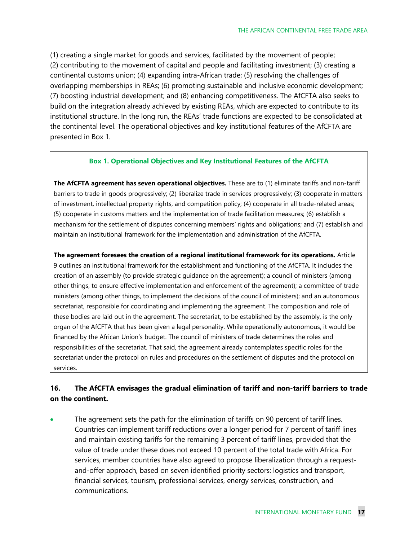(1) creating a single market for goods and services, facilitated by the movement of people; (2) contributing to the movement of capital and people and facilitating investment; (3) creating a continental customs union; (4) expanding intra-African trade; (5) resolving the challenges of overlapping memberships in REAs; (6) promoting sustainable and inclusive economic development; (7) boosting industrial development; and (8) enhancing competitiveness. The AfCFTA also seeks to build on the integration already achieved by existing REAs, which are expected to contribute to its institutional structure. In the long run, the REAs' trade functions are expected to be consolidated at the continental level. The operational objectives and key institutional features of the AfCFTA are presented in Box 1.

#### **Box 1. Operational Objectives and Key Institutional Features of the AfCFTA**

**The AfCFTA agreement has seven operational objectives.** These are to (1) eliminate tariffs and non-tariff barriers to trade in goods progressively; (2) liberalize trade in services progressively; (3) cooperate in matters of investment, intellectual property rights, and competition policy; (4) cooperate in all trade-related areas; (5) cooperate in customs matters and the implementation of trade facilitation measures; (6) establish a mechanism for the settlement of disputes concerning members' rights and obligations; and (7) establish and maintain an institutional framework for the implementation and administration of the AfCFTA.

**The agreement foresees the creation of a regional institutional framework for its operations.** Article 9 outlines an institutional framework for the establishment and functioning of the AfCFTA. It includes the creation of an assembly (to provide strategic guidance on the agreement); a council of ministers (among other things, to ensure effective implementation and enforcement of the agreement); a committee of trade ministers (among other things, to implement the decisions of the council of ministers); and an autonomous secretariat, responsible for coordinating and implementing the agreement. The composition and role of these bodies are laid out in the agreement. The secretariat, to be established by the assembly, is the only organ of the AfCFTA that has been given a legal personality. While operationally autonomous, it would be financed by the African Union's budget. The council of ministers of trade determines the roles and responsibilities of the secretariat. That said, the agreement already contemplates specific roles for the secretariat under the protocol on rules and procedures on the settlement of disputes and the protocol on services.

#### **16. The AfCFTA envisages the gradual elimination of tariff and non-tariff barriers to trade on the continent.**

The agreement sets the path for the elimination of tariffs on 90 percent of tariff lines. Countries can implement tariff reductions over a longer period for 7 percent of tariff lines and maintain existing tariffs for the remaining 3 percent of tariff lines, provided that the value of trade under these does not exceed 10 percent of the total trade with Africa. For services, member countries have also agreed to propose liberalization through a requestand-offer approach, based on seven identified priority sectors: logistics and transport, financial services, tourism, professional services, energy services, construction, and communications.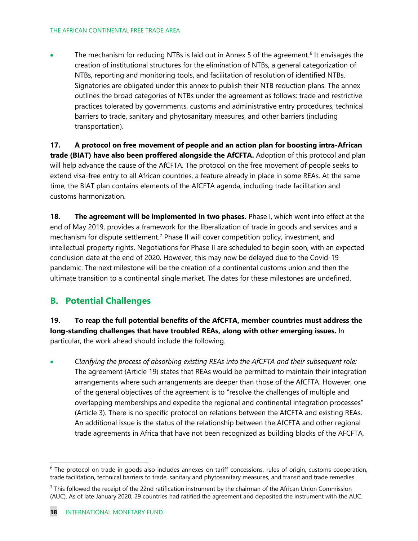• The mechanism for reducing NTBs is laid out in Annex 5 of the agreement.<sup>[6](#page-18-0)</sup> It envisages the creation of institutional structures for the elimination of NTBs, a general categorization of NTBs, reporting and monitoring tools, and facilitation of resolution of identified NTBs. Signatories are obligated under this annex to publish their NTB reduction plans. The annex outlines the broad categories of NTBs under the agreement as follows: trade and restrictive practices tolerated by governments, customs and administrative entry procedures, technical barriers to trade, sanitary and phytosanitary measures, and other barriers (including transportation).

**17. A protocol on free movement of people and an action plan for boosting intra-African trade (BIAT) have also been proffered alongside the AfCFTA.** Adoption of this protocol and plan will help advance the cause of the AfCFTA. The protocol on the free movement of people seeks to extend visa-free entry to all African countries, a feature already in place in some REAs. At the same time, the BIAT plan contains elements of the AfCFTA agenda, including trade facilitation and customs harmonization.

**18. The agreement will be implemented in two phases.** Phase I, which went into effect at the end of May 2019, provides a framework for the liberalization of trade in goods and services and a mechanism for dispute settlement.<sup>[7](#page-18-1)</sup> Phase II will cover competition policy, investment, and intellectual property rights. Negotiations for Phase II are scheduled to begin soon, with an expected conclusion date at the end of 2020. However, this may now be delayed due to the Covid-19 pandemic. The next milestone will be the creation of a continental customs union and then the ultimate transition to a continental single market. The dates for these milestones are undefined.

### **B. Potential Challenges**

**19. To reap the full potential benefits of the AfCFTA, member countries must address the long-standing challenges that have troubled REAs, along with other emerging issues.** In particular, the work ahead should include the following.

• *Clarifying the process of absorbing existing REAs into the AfCFTA and their subsequent role:* The agreement (Article 19) states that REAs would be permitted to maintain their integration arrangements where such arrangements are deeper than those of the AfCFTA. However, one of the general objectives of the agreement is to "resolve the challenges of multiple and overlapping memberships and expedite the regional and continental integration processes" (Article 3). There is no specific protocol on relations between the AfCFTA and existing REAs. An additional issue is the status of the relationship between the AfCFTA and other regional trade agreements in Africa that have not been recognized as building blocks of the AFCFTA,

<span id="page-18-0"></span> $6$  The protocol on trade in goods also includes annexes on tariff concessions, rules of origin, customs cooperation, trade facilitation, technical barriers to trade, sanitary and phytosanitary measures, and transit and trade remedies.

<span id="page-18-1"></span> $<sup>7</sup>$  This followed the receipt of the 22nd ratification instrument by the chairman of the African Union Commission</sup> (AUC). As of late January 2020, 29 countries had ratified the agreement and deposited the instrument with the AUC.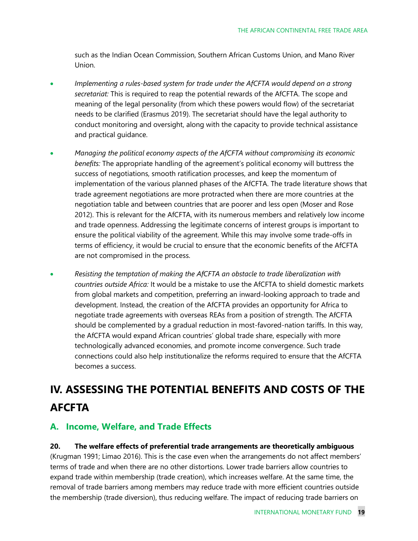such as the Indian Ocean Commission, Southern African Customs Union, and Mano River Union.

- *Implementing a rules-based system for trade under the AfCFTA would depend on a strong secretariat:* This is required to reap the potential rewards of the AfCFTA. The scope and meaning of the legal personality (from which these powers would flow) of the secretariat needs to be clarified (Erasmus 2019). The secretariat should have the legal authority to conduct monitoring and oversight, along with the capacity to provide technical assistance and practical guidance.
- *Managing the political economy aspects of the AfCFTA without compromising its economic benefits:* The appropriate handling of the agreement's political economy will buttress the success of negotiations, smooth ratification processes, and keep the momentum of implementation of the various planned phases of the AfCFTA. The trade literature shows that trade agreement negotiations are more protracted when there are more countries at the negotiation table and between countries that are poorer and less open (Moser and Rose 2012). This is relevant for the AfCFTA, with its numerous members and relatively low income and trade openness. Addressing the legitimate concerns of interest groups is important to ensure the political viability of the agreement. While this may involve some trade-offs in terms of efficiency, it would be crucial to ensure that the economic benefits of the AfCFTA are not compromised in the process.
- *Resisting the temptation of making the AfCFTA an obstacle to trade liberalization with countries outside Africa:* It would be a mistake to use the AfCFTA to shield domestic markets from global markets and competition, preferring an inward-looking approach to trade and development. Instead, the creation of the AfCFTA provides an opportunity for Africa to negotiate trade agreements with overseas REAs from a position of strength. The AfCFTA should be complemented by a gradual reduction in most-favored-nation tariffs. In this way, the AfCFTA would expand African countries' global trade share, especially with more technologically advanced economies, and promote income convergence. Such trade connections could also help institutionalize the reforms required to ensure that the AfCFTA becomes a success.

## **IV. ASSESSING THE POTENTIAL BENEFITS AND COSTS OF THE AFCFTA**

### **A. Income, Welfare, and Trade Effects**

### **20. The welfare effects of preferential trade arrangements are theoretically ambiguous**

(Krugman 1991; Limao 2016). This is the case even when the arrangements do not affect members' terms of trade and when there are no other distortions. Lower trade barriers allow countries to expand trade within membership (trade creation), which increases welfare. At the same time, the removal of trade barriers among members may reduce trade with more efficient countries outside the membership (trade diversion), thus reducing welfare. The impact of reducing trade barriers on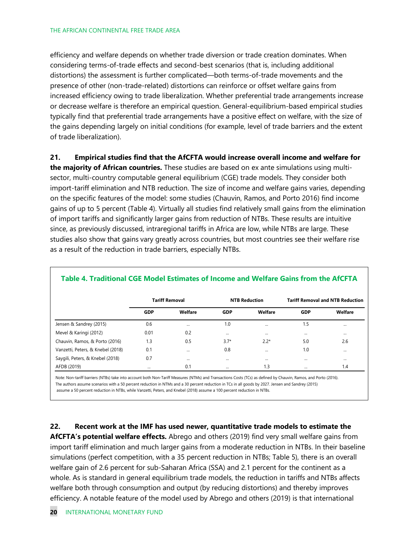efficiency and welfare depends on whether trade diversion or trade creation dominates. When considering terms-of-trade effects and second-best scenarios (that is, including additional distortions) the assessment is further complicated—both terms-of-trade movements and the presence of other (non-trade-related) distortions can reinforce or offset welfare gains from increased efficiency owing to trade liberalization. Whether preferential trade arrangements increase or decrease welfare is therefore an empirical question. General-equilibrium-based empirical studies typically find that preferential trade arrangements have a positive effect on welfare, with the size of the gains depending largely on initial conditions (for example, level of trade barriers and the extent of trade liberalization).

**21. Empirical studies find that the AfCFTA would increase overall income and welfare for the majority of African countries.** These studies are based on ex ante simulations using multisector, multi-country computable general equilibrium (CGE) trade models. They consider both import-tariff elimination and NTB reduction. The size of income and welfare gains varies, depending on the specific features of the model: some studies (Chauvin, Ramos, and Porto 2016) find income gains of up to 5 percent (Table 4). Virtually all studies find relatively small gains from the elimination of import tariffs and significantly larger gains from reduction of NTBs. These results are intuitive since, as previously discussed, intraregional tariffs in Africa are low, while NTBs are large. These studies also show that gains vary greatly across countries, but most countries see their welfare rise as a result of the reduction in trade barriers, especially NTBs.

|                                   | <b>Tariff Removal</b> |          |            | <b>NTB Reduction</b> | <b>Tariff Removal and NTB Reduction</b> |          |  |
|-----------------------------------|-----------------------|----------|------------|----------------------|-----------------------------------------|----------|--|
|                                   | <b>GDP</b>            | Welfare  | <b>GDP</b> | Welfare              | <b>GDP</b>                              | Welfare  |  |
| Jensen & Sandrey (2015)           | 0.6                   | $\cdots$ | 1.0        | $\cdots$             | 1.5                                     |          |  |
| Mevel & Karingi (2012)            | 0.01                  | 0.2      | $\cdots$   | $\cdots$             |                                         | $\cdots$ |  |
| Chauvin, Ramos, & Porto (2016)    | 1.3                   | 0.5      | $3.7*$     | $2.2*$               | 5.0                                     | 2.6      |  |
| Vanzetti, Peters, & Knebel (2018) | 0.1                   | $\cdots$ | 0.8        | $\cdots$             | 1.0                                     |          |  |
| Saygili, Peters, & Knebel (2018)  | 0.7                   | $\cdots$ | $\cdots$   | $\cdots$             |                                         | $\cdots$ |  |
| AFDB (2019)                       | $\cdots$              | 0.1      | $\cdots$   | 1.3                  | $\cdots$                                | 1.4      |  |

#### **Table 4. Traditional CGE Model Estimates of Income and Welfare Gains from the AfCFTA**

Note: Non-tariff barriers (NTBs) take into account both Non-Tariff Measures (NTMs) and Transactions Costs (TCs) as defined by Chauvin, Ramos, and Porto (2016). The authors assume scenarios with a 50 percent reduction in NTMs and a 30 percent reduction in TCs in all goods by 2027. Jensen and Sandrey (2015) assume a 50 percent reduction in NTBs, while Vanzetti, Peters, and Knebel (2018) assume a 100 percent reduction in NTBs.

**22. Recent work at the IMF has used newer, quantitative trade models to estimate the AfCFTA's potential welfare effects.** Abrego and others (2019) find very small welfare gains from import tariff elimination and much larger gains from a moderate reduction in NTBs. In their baseline simulations (perfect competition, with a 35 percent reduction in NTBs; Table 5), there is an overall welfare gain of 2.6 percent for sub-Saharan Africa (SSA) and 2.1 percent for the continent as a whole. As is standard in general equilibrium trade models, the reduction in tariffs and NTBs affects welfare both through consumption and output (by reducing distortions) and thereby improves efficiency. A notable feature of the model used by Abrego and others (2019) is that international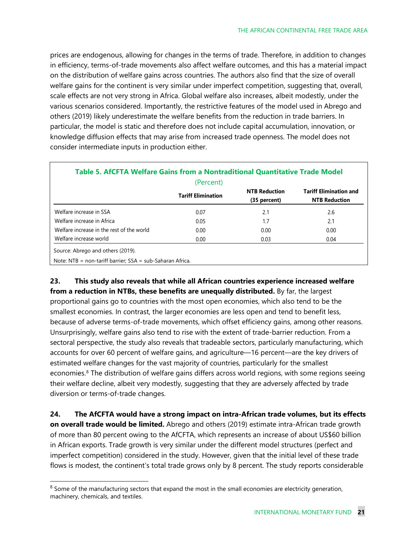prices are endogenous, allowing for changes in the terms of trade. Therefore, in addition to changes in efficiency, terms-of-trade movements also affect welfare outcomes, and this has a material impact on the distribution of welfare gains across countries. The authors also find that the size of overall welfare gains for the continent is very similar under imperfect competition, suggesting that, overall, scale effects are not very strong in Africa. Global welfare also increases, albeit modestly, under the various scenarios considered. Importantly, the restrictive features of the model used in Abrego and others (2019) likely underestimate the welfare benefits from the reduction in trade barriers. In particular, the model is static and therefore does not include capital accumulation, innovation, or knowledge diffusion effects that may arise from increased trade openness. The model does not consider intermediate inputs in production either.

|                                           | (Percent)                 |                                      |                                                       |
|-------------------------------------------|---------------------------|--------------------------------------|-------------------------------------------------------|
|                                           | <b>Tariff Elimination</b> | <b>NTB Reduction</b><br>(35 percent) | <b>Tariff Elimination and</b><br><b>NTB Reduction</b> |
| Welfare increase in SSA                   | 0.07                      | 2.1                                  | 2.6                                                   |
| Welfare increase in Africa                | 0.05                      | 1.7                                  | 2.1                                                   |
| Welfare increase in the rest of the world | 0.00                      | 0.00                                 | 0.00                                                  |
| Welfare increase world                    | 0.00                      | 0.03                                 | 0.04                                                  |

**23. This study also reveals that while all African countries experience increased welfare from a reduction in NTBs, these benefits are unequally distributed.** By far, the largest proportional gains go to countries with the most open economies, which also tend to be the smallest economies. In contrast, the larger economies are less open and tend to benefit less, because of adverse terms-of-trade movements, which offset efficiency gains, among other reasons. Unsurprisingly, welfare gains also tend to rise with the extent of trade-barrier reduction. From a sectoral perspective, the study also reveals that tradeable sectors, particularly manufacturing, which accounts for over 60 percent of welfare gains, and agriculture—16 percent—are the key drivers of estimated welfare changes for the vast majority of countries, particularly for the smallest economies.<sup>8</sup> The distribution of welfare gains differs across world regions, with some regions seeing their welfare decline, albeit very modestly, suggesting that they are adversely affected by trade diversion or terms-of-trade changes.

**24. The AfCFTA would have a strong impact on intra-African trade volumes, but its effects on overall trade would be limited.** Abrego and others (2019) estimate intra-African trade growth of more than 80 percent owing to the AfCFTA, which represents an increase of about US\$60 billion in African exports. Trade growth is very similar under the different model structures (perfect and imperfect competition) considered in the study. However, given that the initial level of these trade flows is modest, the continent's total trade grows only by 8 percent. The study reports considerable

<span id="page-21-0"></span> $8$  Some of the manufacturing sectors that expand the most in the small economies are electricity generation, machinery, chemicals, and textiles.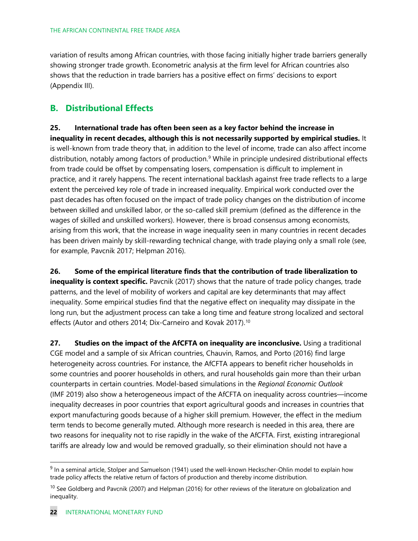variation of results among African countries, with those facing initially higher trade barriers generally showing stronger trade growth. Econometric analysis at the firm level for African countries also shows that the reduction in trade barriers has a positive effect on firms' decisions to export (Appendix III).

### **B. Distributional Effects**

**25. International trade has often been seen as a key factor behind the increase in inequality in recent decades, although this is not necessarily supported by empirical studies.** It is well-known from trade theory that, in addition to the level of income, trade can also affect income distribution, notably among factors of production.<sup>9</sup> While in principle undesired distributional effects from trade could be offset by compensating losers, compensation is difficult to implement in practice, and it rarely happens. The recent international backlash against free trade reflects to a large extent the perceived key role of trade in increased inequality. Empirical work conducted over the past decades has often focused on the impact of trade policy changes on the distribution of income between skilled and unskilled labor, or the so-called skill premium (defined as the difference in the wages of skilled and unskilled workers). However, there is broad consensus among economists, arising from this work, that the increase in wage inequality seen in many countries in recent decades has been driven mainly by skill-rewarding technical change, with trade playing only a small role (see, for example, Pavcnik 2017; Helpman 2016).

**26. Some of the empirical literature finds that the contribution of trade liberalization to inequality is context specific.** Pavcnik (2017) shows that the nature of trade policy changes, trade patterns, and the level of mobility of workers and capital are key determinants that may affect inequality. Some empirical studies find that the negative effect on inequality may dissipate in the long run, but the adjustment process can take a long time and feature strong localized and sectoral effects (Autor and others 2014; Dix-Carneiro and Kovak 2017).<sup>[10](#page-22-1)</sup>

**27. Studies on the impact of the AfCFTA on inequality are inconclusive.** Using a traditional CGE model and a sample of six African countries, Chauvin, Ramos, and Porto (2016) find large heterogeneity across countries. For instance, the AfCFTA appears to benefit richer households in some countries and poorer households in others, and rural households gain more than their urban counterparts in certain countries. Model-based simulations in the *Regional Economic Outlook* (IMF 2019) also show a heterogeneous impact of the AfCFTA on inequality across countries—income inequality decreases in poor countries that export agricultural goods and increases in countries that export manufacturing goods because of a higher skill premium. However, the effect in the medium term tends to become generally muted. Although more research is needed in this area, there are two reasons for inequality not to rise rapidly in the wake of the AfCFTA. First, existing intraregional tariffs are already low and would be removed gradually, so their elimination should not have a

<span id="page-22-0"></span><sup>&</sup>lt;sup>9</sup> In a seminal article, Stolper and Samuelson (1941) used the well-known Heckscher-Ohlin model to explain how trade policy affects the relative return of factors of production and thereby income distribution.

<span id="page-22-1"></span> $10$  See Goldberg and Pavcnik (2007) and Helpman (2016) for other reviews of the literature on globalization and inequality.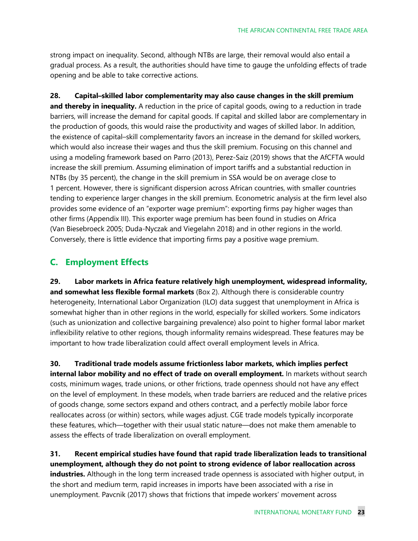strong impact on inequality. Second, although NTBs are large, their removal would also entail a gradual process. As a result, the authorities should have time to gauge the unfolding effects of trade opening and be able to take corrective actions.

**28. Capital–skilled labor complementarity may also cause changes in the skill premium and thereby in inequality.** A reduction in the price of capital goods, owing to a reduction in trade barriers, will increase the demand for capital goods. If capital and skilled labor are complementary in the production of goods, this would raise the productivity and wages of skilled labor. In addition, the existence of capital–skill complementarity favors an increase in the demand for skilled workers, which would also increase their wages and thus the skill premium. Focusing on this channel and using a modeling framework based on Parro (2013), Perez-Saiz (2019) shows that the AfCFTA would increase the skill premium. Assuming elimination of import tariffs and a substantial reduction in NTBs (by 35 percent), the change in the skill premium in SSA would be on average close to 1 percent. However, there is significant dispersion across African countries, with smaller countries tending to experience larger changes in the skill premium. Econometric analysis at the firm level also provides some evidence of an "exporter wage premium": exporting firms pay higher wages than other firms (Appendix III). This exporter wage premium has been found in studies on Africa (Van Biesebroeck 2005; Duda-Nyczak and Viegelahn 2018) and in other regions in the world. Conversely, there is little evidence that importing firms pay a positive wage premium.

### **C. Employment Effects**

**29. Labor markets in Africa feature relatively high unemployment, widespread informality, and somewhat less flexible formal markets** (Box 2). Although there is considerable country heterogeneity, International Labor Organization (ILO) data suggest that unemployment in Africa is somewhat higher than in other regions in the world, especially for skilled workers. Some indicators (such as unionization and collective bargaining prevalence) also point to higher formal labor market inflexibility relative to other regions, though informality remains widespread. These features may be important to how trade liberalization could affect overall employment levels in Africa.

**30. Traditional trade models assume frictionless labor markets, which implies perfect internal labor mobility and no effect of trade on overall employment.** In markets without search costs, minimum wages, trade unions, or other frictions, trade openness should not have any effect on the level of employment. In these models, when trade barriers are reduced and the relative prices of goods change, some sectors expand and others contract, and a perfectly mobile labor force reallocates across (or within) sectors, while wages adjust. CGE trade models typically incorporate these features, which—together with their usual static nature—does not make them amenable to assess the effects of trade liberalization on overall employment.

**31. Recent empirical studies have found that rapid trade liberalization leads to transitional unemployment, although they do not point to strong evidence of labor reallocation across industries.** Although in the long term increased trade openness is associated with higher output, in the short and medium term, rapid increases in imports have been associated with a rise in unemployment. Pavcnik (2017) shows that frictions that impede workers' movement across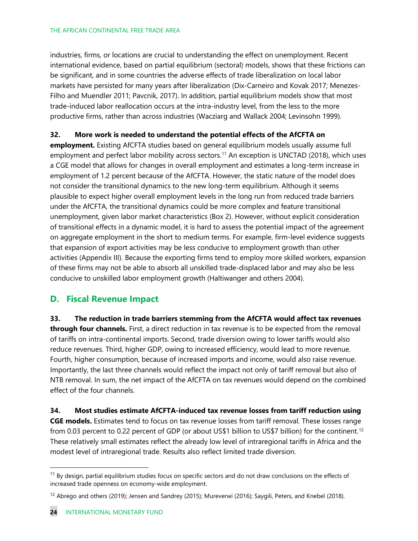#### THE AFRICAN CONTINENTAL FREE TRADE AREA

industries, firms, or locations are crucial to understanding the effect on unemployment. Recent international evidence, based on partial equilibrium (sectoral) models, shows that these frictions can be significant, and in some countries the adverse effects of trade liberalization on local labor markets have persisted for many years after liberalization (Dix-Carneiro and Kovak 2017; Menezes-Filho and Muendler 2011; Pavcnik, 2017). In addition, partial equilibrium models show that most trade-induced labor reallocation occurs at the intra-industry level, from the less to the more productive firms, rather than across industries (Wacziarg and Wallack 2004; Levinsohn 1999).

#### **32. More work is needed to understand the potential effects of the AfCFTA on**

**employment.** Existing AfCFTA studies based on general equilibrium models usually assume full employment and perfect labor mobility across sectors.<sup>[11](#page-24-0)</sup> An exception is UNCTAD (2018), which uses a CGE model that allows for changes in overall employment and estimates a long-term increase in employment of 1.2 percent because of the AfCFTA. However, the static nature of the model does not consider the transitional dynamics to the new long-term equilibrium. Although it seems plausible to expect higher overall employment levels in the long run from reduced trade barriers under the AfCFTA, the transitional dynamics could be more complex and feature transitional unemployment, given labor market characteristics (Box 2). However, without explicit consideration of transitional effects in a dynamic model, it is hard to assess the potential impact of the agreement on aggregate employment in the short to medium terms. For example, firm-level evidence suggests that expansion of export activities may be less conducive to employment growth than other activities (Appendix III). Because the exporting firms tend to employ more skilled workers, expansion of these firms may not be able to absorb all unskilled trade-displaced labor and may also be less conducive to unskilled labor employment growth (Haltiwanger and others 2004).

### **D. Fiscal Revenue Impact**

**33. The reduction in trade barriers stemming from the AfCFTA would affect tax revenues through four channels.** First, a direct reduction in tax revenue is to be expected from the removal of tariffs on intra-continental imports. Second, trade diversion owing to lower tariffs would also reduce revenues. Third, higher GDP, owing to increased efficiency, would lead to more revenue. Fourth, higher consumption, because of increased imports and income, would also raise revenue. Importantly, the last three channels would reflect the impact not only of tariff removal but also of NTB removal. In sum, the net impact of the AfCFTA on tax revenues would depend on the combined effect of the four channels.

**34. Most studies estimate AfCFTA-induced tax revenue losses from tariff reduction using CGE models.** Estimates tend to focus on tax revenue losses from tariff removal. These losses range from 0.03 percent to 0.22 percent of GDP (or about US\$1 billion to US\$7 billion) for the continent. [12](#page-24-1) These relatively small estimates reflect the already low level of intraregional tariffs in Africa and the modest level of intraregional trade. Results also reflect limited trade diversion.

<span id="page-24-0"></span> $11$  By design, partial equilibrium studies focus on specific sectors and do not draw conclusions on the effects of increased trade openness on economy-wide employment.

<span id="page-24-1"></span><sup>&</sup>lt;sup>12</sup> Abrego and others (2019); Jensen and Sandrey (2015); Mureverwi (2016); Saygili, Peters, and Knebel (2018).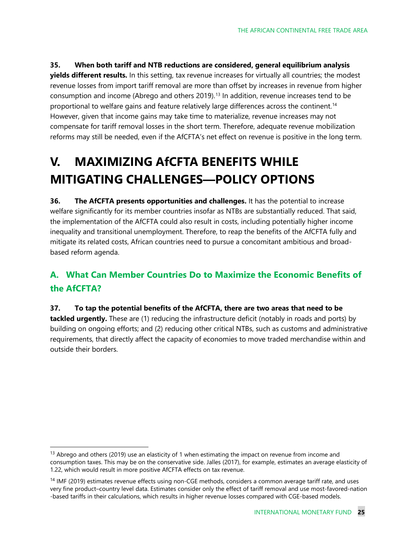**35. When both tariff and NTB reductions are considered, general equilibrium analysis yields different results.** In this setting, tax revenue increases for virtually all countries; the modest revenue losses from import tariff removal are more than offset by increases in revenue from higher consumption and income (Abrego and others 2019). [13](#page-25-0) In addition, revenue increases tend to be proportional to welfare gains and feature relatively large differences across the continent. [14](#page-25-1) However, given that income gains may take time to materialize, revenue increases may not compensate for tariff removal losses in the short term. Therefore, adequate revenue mobilization reforms may still be needed, even if the AfCFTA's net effect on revenue is positive in the long term.

## **V. MAXIMIZING AfCFTA BENEFITS WHILE MITIGATING CHALLENGES—POLICY OPTIONS**

**36. The AfCFTA presents opportunities and challenges.** It has the potential to increase welfare significantly for its member countries insofar as NTBs are substantially reduced. That said, the implementation of the AfCFTA could also result in costs, including potentially higher income inequality and transitional unemployment. Therefore, to reap the benefits of the AfCFTA fully and mitigate its related costs, African countries need to pursue a concomitant ambitious and broadbased reform agenda.

## **A. What Can Member Countries Do to Maximize the Economic Benefits of the AfCFTA?**

### **37. To tap the potential benefits of the AfCFTA, there are two areas that need to be**

**tackled urgently.** These are (1) reducing the infrastructure deficit (notably in roads and ports) by building on ongoing efforts; and (2) reducing other critical NTBs, such as customs and administrative requirements, that directly affect the capacity of economies to move traded merchandise within and outside their borders.

<span id="page-25-0"></span> $13$  Abrego and others (2019) use an elasticity of 1 when estimating the impact on revenue from income and consumption taxes. This may be on the conservative side. Jalles (2017), for example, estimates an average elasticity of 1.22, which would result in more positive AfCFTA effects on tax revenue.

<span id="page-25-1"></span><sup>&</sup>lt;sup>14</sup> IMF (2019) estimates revenue effects using non-CGE methods, considers a common average tariff rate, and uses very fine product–country level data. Estimates consider only the effect of tariff removal and use most-favored-nation -based tariffs in their calculations, which results in higher revenue losses compared with CGE-based models.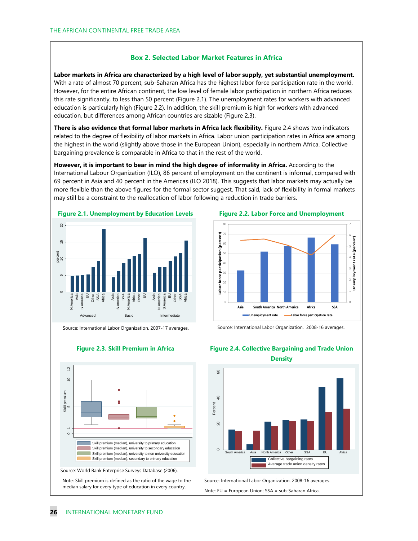#### **Box 2. Selected Labor Market Features in Africa**

**Labor markets in Africa are characterized by a high level of labor supply, yet substantial unemployment.**  With a rate of almost 70 percent, sub-Saharan Africa has the highest labor force participation rate in the world. However, for the entire African continent, the low level of female labor participation in northern Africa reduces this rate significantly, to less than 50 percent (Figure 2.1). The unemployment rates for workers with advanced education is particularly high (Figure 2.2). In addition, the skill premium is high for workers with advanced education, but differences among African countries are sizable (Figure 2.3).

**There is also evidence that formal labor markets in Africa lack flexibility.** Figure 2.4 shows two indicators related to the degree of flexibility of labor markets in Africa. Labor union participation rates in Africa are among the highest in the world (slightly above those in the European Union), especially in northern Africa. Collective bargaining prevalence is comparable in Africa to that in the rest of the world.

**However, it is important to bear in mind the high degree of informality in Africa.** According to the International Labour Organization (ILO), 86 percent of employment on the continent is informal, compared with 69 percent in Asia and 40 percent in the Americas (ILO 2018). This suggests that labor markets may actually be more flexible than the above figures for the formal sector suggest. That said, lack of flexibility in formal markets may still be a constraint to the reallocation of labor following a reduction in trade barriers.



Source: International Labor Organization. 2007-17 averages.









Source: International Labor Organization. 2008-16 averages.



#### **Figure 2.4. Collective Bargaining and Trade Union Density**

South America Asia North America Other SSA EU Africa Collective bargaining rates Average trade union density rates

Source: International Labor Organization. 2008-16 averages. Note: EU = European Union; SSA = sub-Saharan Africa.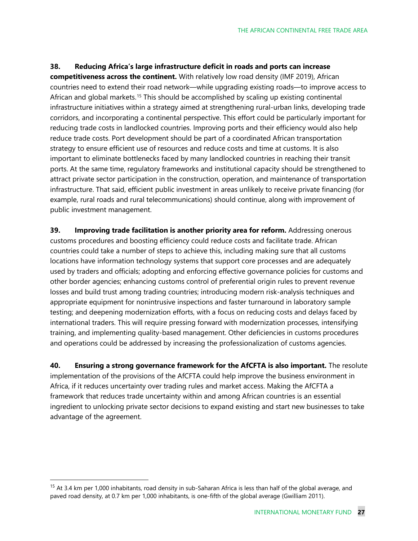#### **38. Reducing Africa's large infrastructure deficit in roads and ports can increase**

**competitiveness across the continent.** With relatively low road density (IMF 2019), African countries need to extend their road network—while upgrading existing roads—to improve access to African and global markets.<sup>[15](#page-27-0)</sup> This should be accomplished by scaling up existing continental infrastructure initiatives within a strategy aimed at strengthening rural-urban links, developing trade corridors, and incorporating a continental perspective. This effort could be particularly important for reducing trade costs in landlocked countries. Improving ports and their efficiency would also help reduce trade costs. Port development should be part of a coordinated African transportation strategy to ensure efficient use of resources and reduce costs and time at customs. It is also important to eliminate bottlenecks faced by many landlocked countries in reaching their transit ports. At the same time, regulatory frameworks and institutional capacity should be strengthened to attract private sector participation in the construction, operation, and maintenance of transportation infrastructure. That said, efficient public investment in areas unlikely to receive private financing (for example, rural roads and rural telecommunications) should continue, along with improvement of public investment management.

**39. Improving trade facilitation is another priority area for reform.** Addressing onerous customs procedures and boosting efficiency could reduce costs and facilitate trade. African countries could take a number of steps to achieve this, including making sure that all customs locations have information technology systems that support core processes and are adequately used by traders and officials; adopting and enforcing effective governance policies for customs and other border agencies; enhancing customs control of preferential origin rules to prevent revenue losses and build trust among trading countries; introducing modern risk-analysis techniques and appropriate equipment for nonintrusive inspections and faster turnaround in laboratory sample testing; and deepening modernization efforts, with a focus on reducing costs and delays faced by international traders. This will require pressing forward with modernization processes, intensifying training, and implementing quality-based management. Other deficiencies in customs procedures and operations could be addressed by increasing the professionalization of customs agencies.

**40. Ensuring a strong governance framework for the AfCFTA is also important.** The resolute implementation of the provisions of the AfCFTA could help improve the business environment in Africa, if it reduces uncertainty over trading rules and market access. Making the AfCFTA a framework that reduces trade uncertainty within and among African countries is an essential ingredient to unlocking private sector decisions to expand existing and start new businesses to take advantage of the agreement.

<span id="page-27-0"></span><sup>&</sup>lt;sup>15</sup> At 3.4 km per 1,000 inhabitants, road density in sub-Saharan Africa is less than half of the global average, and paved road density, at 0.7 km per 1,000 inhabitants, is one-fifth of the global average (Gwilliam 2011).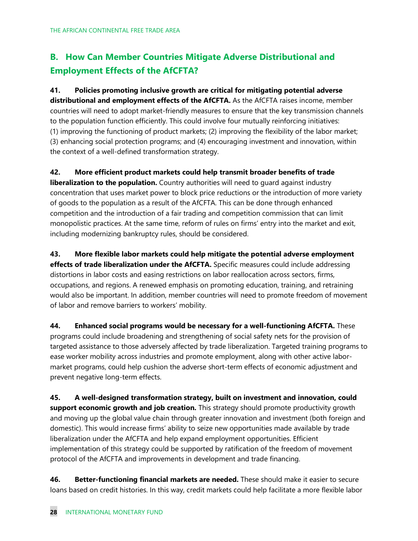## **B. How Can Member Countries Mitigate Adverse Distributional and Employment Effects of the AfCFTA?**

**41. Policies promoting inclusive growth are critical for mitigating potential adverse distributional and employment effects of the AfCFTA.** As the AfCFTA raises income, member countries will need to adopt market-friendly measures to ensure that the key transmission channels to the population function efficiently. This could involve four mutually reinforcing initiatives: (1) improving the functioning of product markets; (2) improving the flexibility of the labor market; (3) enhancing social protection programs; and (4) encouraging investment and innovation, within the context of a well-defined transformation strategy.

**42. More efficient product markets could help transmit broader benefits of trade liberalization to the population.** Country authorities will need to guard against industry concentration that uses market power to block price reductions or the introduction of more variety of goods to the population as a result of the AfCFTA. This can be done through enhanced competition and the introduction of a fair trading and competition commission that can limit monopolistic practices. At the same time, reform of rules on firms' entry into the market and exit, including modernizing bankruptcy rules, should be considered.

**43. More flexible labor markets could help mitigate the potential adverse employment**  effects of trade liberalization under the AfCFTA. Specific measures could include addressing distortions in labor costs and easing restrictions on labor reallocation across sectors, firms, occupations, and regions. A renewed emphasis on promoting education, training, and retraining would also be important. In addition, member countries will need to promote freedom of movement of labor and remove barriers to workers' mobility.

**44. Enhanced social programs would be necessary for a well-functioning AfCFTA.** These programs could include broadening and strengthening of social safety nets for the provision of targeted assistance to those adversely affected by trade liberalization. Targeted training programs to ease worker mobility across industries and promote employment, along with other active labormarket programs, could help cushion the adverse short-term effects of economic adjustment and prevent negative long-term effects.

**45. A well-designed transformation strategy, built on investment and innovation, could support economic growth and job creation.** This strategy should promote productivity growth and moving up the global value chain through greater innovation and investment (both foreign and domestic). This would increase firms' ability to seize new opportunities made available by trade liberalization under the AfCFTA and help expand employment opportunities. Efficient implementation of this strategy could be supported by ratification of the freedom of movement protocol of the AfCFTA and improvements in development and trade financing.

**46. Better-functioning financial markets are needed.** These should make it easier to secure loans based on credit histories. In this way, credit markets could help facilitate a more flexible labor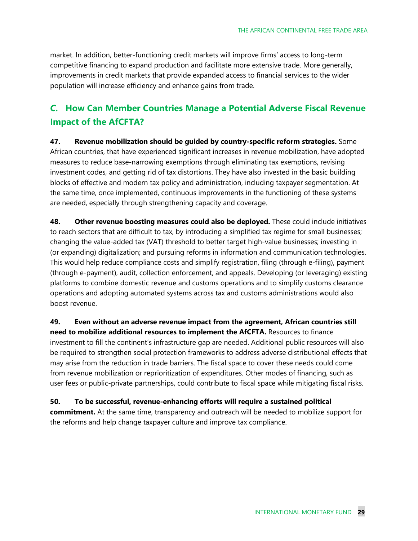market. In addition, better-functioning credit markets will improve firms' access to long-term competitive financing to expand production and facilitate more extensive trade. More generally, improvements in credit markets that provide expanded access to financial services to the wider population will increase efficiency and enhance gains from trade.

### *C.* **How Can Member Countries Manage a Potential Adverse Fiscal Revenue Impact of the AfCFTA?**

**47. Revenue mobilization should be guided by country-specific reform strategies.** Some African countries, that have experienced significant increases in revenue mobilization, have adopted measures to reduce base-narrowing exemptions through eliminating tax exemptions, revising investment codes, and getting rid of tax distortions. They have also invested in the basic building blocks of effective and modern tax policy and administration, including taxpayer segmentation. At the same time, once implemented, continuous improvements in the functioning of these systems are needed, especially through strengthening capacity and coverage.

**48. Other revenue boosting measures could also be deployed.** These could include initiatives to reach sectors that are difficult to tax, by introducing a simplified tax regime for small businesses; changing the value-added tax (VAT) threshold to better target high-value businesses; investing in (or expanding) digitalization; and pursuing reforms in information and communication technologies. This would help reduce compliance costs and simplify registration, filing (through e-filing), payment (through e-payment), audit, collection enforcement, and appeals. Developing (or leveraging) existing platforms to combine domestic revenue and customs operations and to simplify customs clearance operations and adopting automated systems across tax and customs administrations would also boost revenue.

**49. Even without an adverse revenue impact from the agreement, African countries still need to mobilize additional resources to implement the AfCFTA.** Resources to finance investment to fill the continent's infrastructure gap are needed. Additional public resources will also be required to strengthen social protection frameworks to address adverse distributional effects that may arise from the reduction in trade barriers. The fiscal space to cover these needs could come from revenue mobilization or reprioritization of expenditures. Other modes of financing, such as user fees or public-private partnerships, could contribute to fiscal space while mitigating fiscal risks.

**50. To be successful, revenue-enhancing efforts will require a sustained political commitment.** At the same time, transparency and outreach will be needed to mobilize support for the reforms and help change taxpayer culture and improve tax compliance.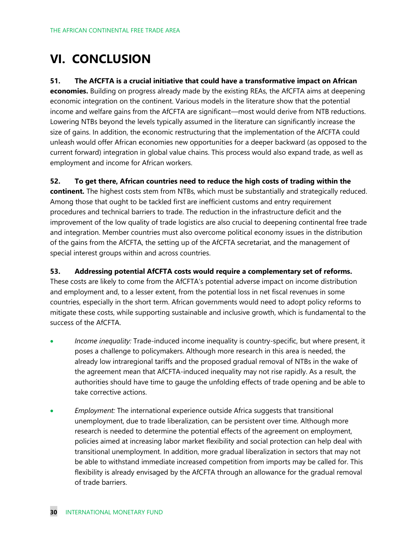## **VI. CONCLUSION**

#### **51. The AfCFTA is a crucial initiative that could have a transformative impact on African**

**economies.** Building on progress already made by the existing REAs, the AfCFTA aims at deepening economic integration on the continent. Various models in the literature show that the potential income and welfare gains from the AfCFTA are significant—most would derive from NTB reductions. Lowering NTBs beyond the levels typically assumed in the literature can significantly increase the size of gains. In addition, the economic restructuring that the implementation of the AfCFTA could unleash would offer African economies new opportunities for a deeper backward (as opposed to the current forward) integration in global value chains. This process would also expand trade, as well as employment and income for African workers.

**52. To get there, African countries need to reduce the high costs of trading within the continent.** The highest costs stem from NTBs, which must be substantially and strategically reduced. Among those that ought to be tackled first are inefficient customs and entry requirement procedures and technical barriers to trade. The reduction in the infrastructure deficit and the

improvement of the low quality of trade logistics are also crucial to deepening continental free trade and integration. Member countries must also overcome political economy issues in the distribution of the gains from the AfCFTA, the setting up of the AfCFTA secretariat, and the management of special interest groups within and across countries.

#### **53. Addressing potential AfCFTA costs would require a complementary set of reforms.**

These costs are likely to come from the AfCFTA's potential adverse impact on income distribution and employment and, to a lesser extent, from the potential loss in net fiscal revenues in some countries, especially in the short term. African governments would need to adopt policy reforms to mitigate these costs, while supporting sustainable and inclusive growth, which is fundamental to the success of the AfCFTA.

- *Income inequality:* Trade-induced income inequality is country-specific, but where present, it poses a challenge to policymakers. Although more research in this area is needed, the already low intraregional tariffs and the proposed gradual removal of NTBs in the wake of the agreement mean that AfCFTA-induced inequality may not rise rapidly. As a result, the authorities should have time to gauge the unfolding effects of trade opening and be able to take corrective actions.
- *Employment:* The international experience outside Africa suggests that transitional unemployment, due to trade liberalization, can be persistent over time. Although more research is needed to determine the potential effects of the agreement on employment, policies aimed at increasing labor market flexibility and social protection can help deal with transitional unemployment. In addition, more gradual liberalization in sectors that may not be able to withstand immediate increased competition from imports may be called for. This flexibility is already envisaged by the AfCFTA through an allowance for the gradual removal of trade barriers.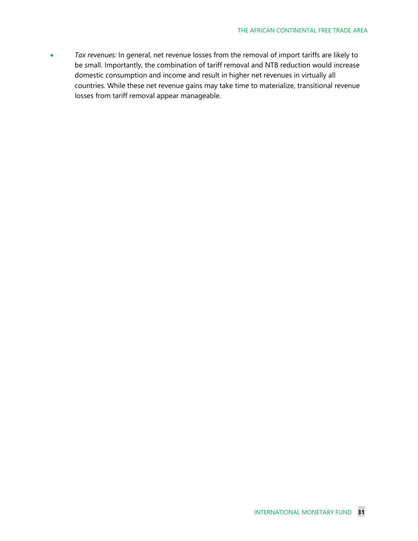• *Tax revenues:* In general, net revenue losses from the removal of import tariffs are likely to be small. Importantly, the combination of tariff removal and NTB reduction would increase domestic consumption and income and result in higher net revenues in virtually all countries. While these net revenue gains may take time to materialize, transitional revenue losses from tariff removal appear manageable.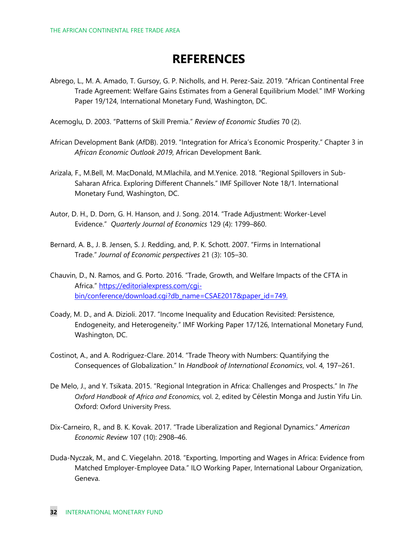## **REFERENCES**

Abrego, L., M. A. Amado, T. Gursoy, G. P. Nicholls, and H. Perez-Saiz. 2019. "African Continental Free Trade Agreement: Welfare Gains Estimates from a General Equilibrium Model." IMF Working Paper 19/124, International Monetary Fund, Washington, DC.

Acemoglu, D. 2003. "Patterns of Skill Premia." *Review of Economic Studies* 70 (2).

- African Development Bank (AfDB). 2019. "Integration for Africa's Economic Prosperity." Chapter 3 in *African Economic Outlook 2019*, African Development Bank.
- Arizala, F., M.Bell, M. MacDonald, M.Mlachila, and M.Yenice. 2018. "Regional Spillovers in Sub-Saharan Africa. Exploring Different Channels." IMF Spillover Note 18/1. International Monetary Fund, Washington, DC.
- Autor, D. H., D. Dorn, G. H. Hanson, and J. Song. 2014. "Trade Adjustment: Worker-Level Evidence." *Quarterly Journal of Economics* 129 (4): 1799–860.
- Bernard, A. B., J. B. Jensen, S. J. Redding, and, P. K. Schott. 2007. "Firms in International Trade." *Journal of Economic perspectives* 21 (3): 105–30.
- Chauvin, D., N. Ramos, and G. Porto. 2016. "Trade, Growth, and Welfare Impacts of the CFTA in Africa." [https://editorialexpress.com/cgi](https://editorialexpress.com/cgi-bin/conference/download.cgi?db_name=CSAE2017&paper_id=749)[bin/conference/download.cgi?db\\_name=CSAE2017&paper\\_id=749.](https://editorialexpress.com/cgi-bin/conference/download.cgi?db_name=CSAE2017&paper_id=749)
- Coady, M. D., and A. Dizioli. 2017. "Income Inequality and Education Revisited: Persistence, Endogeneity, and Heterogeneity." IMF Working Paper 17/126, International Monetary Fund, Washington, DC.
- Costinot, A., and A. Rodriguez-Clare. 2014. "Trade Theory with Numbers: Quantifying the Consequences of Globalization." In *Handbook of International Economics*, vol. 4, 197–261.
- De Melo, J., and Y. Tsikata. 2015. "Regional Integration in Africa: Challenges and Prospects." In *The Oxford Handbook of Africa and Economics,* vol. 2, edited by Célestin Monga and Justin Yifu Lin. Oxford: Oxford University Press.
- Dix-Carneiro, R., and B. K. Kovak. 2017. "Trade Liberalization and Regional Dynamics." *American Economic Review* 107 (10): 2908–46.
- Duda-Nyczak, M., and C. Viegelahn. 2018. "Exporting, Importing and Wages in Africa: Evidence from Matched Employer-Employee Data." ILO Working Paper, International Labour Organization, Geneva.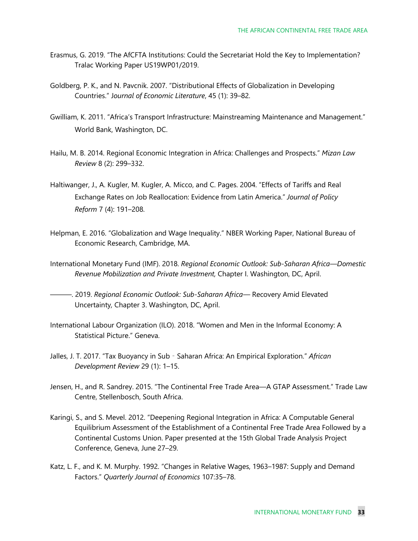- Erasmus, G. 2019. "The AfCFTA Institutions: Could the Secretariat Hold the Key to Implementation? Tralac Working Paper US19WP01/2019.
- Goldberg, P. K., and N. Pavcnik. 2007. "Distributional Effects of Globalization in Developing Countries." J*ournal of Economic Literature*, 45 (1): 39–82.
- Gwilliam, K. 2011. "Africa's Transport Infrastructure: Mainstreaming Maintenance and Management." World Bank, Washington, DC.
- Hailu, M. B. 2014. Regional Economic Integration in Africa: Challenges and Prospects." *Mizan Law Review* 8 (2): 299–332.
- Haltiwanger, J., A. Kugler, M. Kugler, A. Micco, and C. Pages. 2004. "Effects of Tariffs and Real Exchange Rates on Job Reallocation: Evidence from Latin America." *Journal of Policy Reform* 7 (4): 191–208.
- Helpman, E. 2016. "Globalization and Wage Inequality." NBER Working Paper, National Bureau of Economic Research, Cambridge, MA.
- International Monetary Fund (IMF). 2018. *Regional Economic Outlook: Sub-Saharan Africa—Domestic Revenue Mobilization and Private Investment,* Chapter I. Washington, DC, April.
- ———. 2019. *Regional Economic Outlook: Sub-Saharan Africa—* Recovery Amid Elevated Uncertainty*,* Chapter 3. Washington, DC, April.
- International Labour Organization (ILO). 2018. "Women and Men in the Informal Economy: A Statistical Picture." Geneva.
- Jalles, J. T. 2017. "Tax Buoyancy in Sub Saharan Africa: An Empirical Exploration." African *Development Review* 29 (1): 1–15.
- Jensen, H., and R. Sandrey. 2015. "The Continental Free Trade Area—A GTAP Assessment." Trade Law Centre, Stellenbosch, South Africa.
- Karingi, S., and S. Mevel. 2012. "Deepening Regional Integration in Africa: A Computable General Equilibrium Assessment of the Establishment of a Continental Free Trade Area Followed by a Continental Customs Union. Paper presented at the 15th Global Trade Analysis Project Conference, Geneva, June 27–29.
- Katz, L. F., and K. M. Murphy. 1992. "Changes in Relative Wages, 1963–1987: Supply and Demand Factors." *Quarterly Journal of Economics* 107:35–78.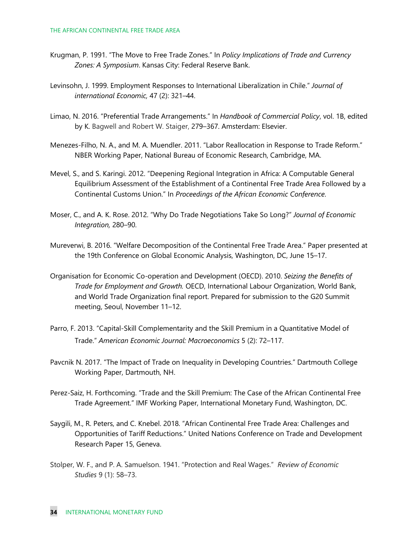- Krugman, P. 1991. "The Move to Free Trade Zones." In *Policy Implications of Trade and Currency Zones: A Symposium*. Kansas City: Federal Reserve Bank.
- Levinsohn, J. 1999. Employment Responses to International Liberalization in Chile." *Journal of international Economic,* 47 (2): 321–44.
- Limao, N. 2016. "Preferential Trade Arrangements." In *Handbook of Commercial Policy*, vol. 1B, edited by K. Bagwell and Robert W. Staiger, 279–367. Amsterdam: Elsevier.
- Menezes-Filho, N. A., and M. A. Muendler. 2011. "Labor Reallocation in Response to Trade Reform." NBER Working Paper, National Bureau of Economic Research, Cambridge, MA.
- Mevel, S., and S. Karingi. 2012. "Deepening Regional Integration in Africa: A Computable General Equilibrium Assessment of the Establishment of a Continental Free Trade Area Followed by a Continental Customs Union." In *Proceedings of the African Economic Conference*.
- Moser, C., and A. K. Rose. 2012. "Why Do Trade Negotiations Take So Long?" *Journal of Economic Integration,* 280–90.
- Mureverwi, B. 2016. "Welfare Decomposition of the Continental Free Trade Area." Paper presented at the 19th Conference on Global Economic Analysis, Washington, DC, June 15–17.
- Organisation for Economic Co-operation and Development (OECD). 2010. *Seizing the Benefits of Trade for Employment and Growth.* OECD, International Labour Organization, World Bank, and World Trade Organization final report. Prepared for submission to the G20 Summit meeting, Seoul, November 11–12.
- Parro, F. 2013. "Capital-Skill Complementarity and the Skill Premium in a Quantitative Model of Trade." *American Economic Journal: Macroeconomics* 5 (2): 72–117.
- Pavcnik N. 2017. "The Impact of Trade on Inequality in Developing Countries." Dartmouth College Working Paper, Dartmouth, NH.
- Perez-Saiz, H. Forthcoming. "Trade and the Skill Premium: The Case of the African Continental Free Trade Agreement." IMF Working Paper, International Monetary Fund, Washington, DC.
- Saygili, M., R. Peters, and C. Knebel. 2018. "African Continental Free Trade Area: Challenges and Opportunities of Tariff Reductions." United Nations Conference on Trade and Development Research Paper 15, Geneva.
- Stolper, W. F., and P. A. Samuelson. 1941. "Protection and Real Wages." *Review of Economic Studies* 9 (1): 58–73.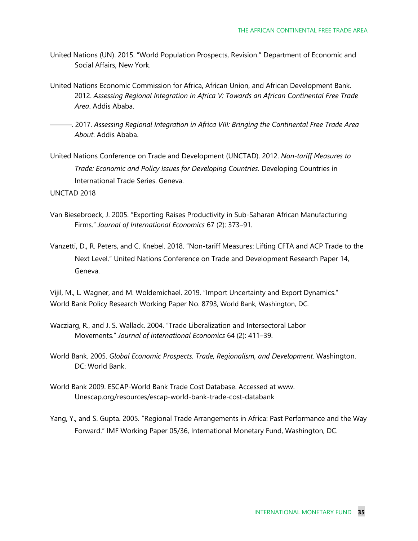- United Nations (UN). 2015. "World Population Prospects, Revision." Department of Economic and Social Affairs, New York.
- United Nations Economic Commission for Africa, African Union, and African Development Bank. 2012. *Assessing Regional Integration in Africa V: Towards an African Continental Free Trade Area*. Addis Ababa.
- ———. 2017. *Assessing Regional Integration in Africa VIII: Bringing the Continental Free Trade Area About*. Addis Ababa.
- United Nations Conference on Trade and Development (UNCTAD). 2012. *Non-tariff Measures to Trade: Economic and Policy Issues for Developing Countries.* Developing Countries in International Trade Series. Geneva.

UNCTAD 2018

- Van Biesebroeck, J. 2005. "Exporting Raises Productivity in Sub-Saharan African Manufacturing Firms." *Journal of International Economics* 67 (2): 373–91.
- Vanzetti, D., R. Peters, and C. Knebel. 2018. "Non-tariff Measures: Lifting CFTA and ACP Trade to the Next Level." United Nations Conference on Trade and Development Research Paper 14, Geneva.

Vijil, M., L. Wagner, and M. Woldemichael. 2019. "Import Uncertainty and Export Dynamics." [World Bank Policy Research Working Paper No. 8793,](https://papers.ssrn.com/sol3/papers.cfm?abstract_id=3360152##) World Bank, Washington, DC.

- Wacziarg, R., and J. S. Wallack. 2004. "Trade Liberalization and Intersectoral Labor Movements." *Journal of international Economics* 64 (2): 411–39.
- World Bank. 2005. *Global Economic Prospects. Trade, Regionalism, and Development.* Washington. DC: World Bank.
- World Bank 2009. ESCAP-World Bank Trade Cost Database. Accessed at www. Unescap.org/resources/escap-world-bank-trade-cost-databank
- Yang, Y., and S. Gupta. 2005. "Regional Trade Arrangements in Africa: Past Performance and the Way Forward." IMF Working Paper 05/36, International Monetary Fund, Washington, DC.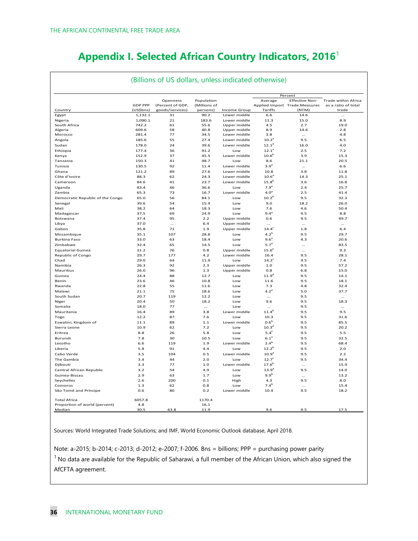## **Appendix I. Selected African Country Indicators, 2016**<sup>1</sup>

|                                  | (Billions of US dollars, unless indicated otherwise) |                              |                            |                     |                       |                                                                   |                                                   |  |
|----------------------------------|------------------------------------------------------|------------------------------|----------------------------|---------------------|-----------------------|-------------------------------------------------------------------|---------------------------------------------------|--|
|                                  | <b>GDP PPP</b>                                       | Openness<br>(Percent of GDP, | Population<br>(Millions of |                     | Average               | Percent<br><b>Effective Non-</b><br>Applied Import Trade Measures | <b>Trade within Africa</b><br>as a ratio of total |  |
| Country                          | (US\$bns)                                            | goods/services)              | persons)                   | <b>Income Group</b> | Tariffs               | (NTM)                                                             | trade                                             |  |
| Egypt                            | 1,132.1                                              | 31                           | 90.2                       | Lower middle        | 6.6                   | 14.6                                                              | $\cdots$                                          |  |
| Nigeria                          | 1,090.1                                              | 21                           | 183.6                      | Lower middle        | 11.3                  | 15.0                                                              | 8.9                                               |  |
| South Africa                     | 742.2                                                | 61                           | 55.6                       | Upper middle        | 4.5                   | 2.7                                                               | 19.0                                              |  |
| Algeria                          | 609.6                                                | 58                           | 40.8                       | Upper middle        | 8.9                   | 14.6                                                              | 2.8                                               |  |
| Morocco                          | 281.4                                                | 77                           | 34.5                       | Lower middle        | 3.8                   | $\cdots$                                                          | 4.8                                               |  |
| Angola                           | 185.6                                                | 55                           | 27.4                       | Lower middle        | 10.2 <sup>a</sup>     | 9.5                                                               | 6.5                                               |  |
| Sudan                            | 178.0                                                | 24                           | 39.6                       | Lower middle        | 12.1 <sup>d</sup>     | 16.0                                                              | 4.0                                               |  |
| Ethiopia                         | 177.4                                                | 36                           | 91.2                       | Low                 | $12.1^a$              | 2.5                                                               | 7.2                                               |  |
| Kenya                            | 152.9                                                | 37                           | 45.5                       | Lower middle        | 10.6 <sup>b</sup>     | 3.9                                                               | 15.3                                              |  |
| Tanzania                         | 150.3                                                | 41                           | 48.7                       | Low                 | 8.6                   | 21.1                                                              | 20.5                                              |  |
| Tunisia                          | 130.5                                                | 92                           | 11.4                       | Lower middle        | 3.9 <sup>a</sup>      | $\cdots$                                                          | 6.6                                               |  |
| Ghana                            | 121.2                                                | 89                           | 27.6                       | Lower middle        | 10.8                  | 3.8                                                               | 11.8                                              |  |
| Côte d'Ivoire                    | 88.3                                                 | 62                           | 24.3                       | Lower middle        | $10.6^a$              | 14.3                                                              | 25.1                                              |  |
| Cameroon                         | 84.6                                                 | 41                           | 23.7                       | Lower middle        | $15.8^{b}$            | 3.6                                                               | 16.8                                              |  |
| Uganda                           | 83.4                                                 | 46                           | 36.6                       | Low                 | 7.9 <sup>a</sup>      | 2.4                                                               | 25.7                                              |  |
| Zambia                           | 65.3                                                 | 73                           | 16.7                       | Lower middle        | 4.0 <sup>a</sup>      | 2.5                                                               | 41.4                                              |  |
| Democratic Republic of the Congo | 65.0                                                 | 56                           | 84.1                       | Low                 | 10.2 <sup>b</sup>     | 9.5                                                               | 32.3                                              |  |
| Senegal                          | 39.6                                                 | 54                           | 15.4                       | Low                 | 9.0                   | 18.2                                                              | 26.0                                              |  |
| Mali                             | 38.2                                                 | 64                           | 18.3                       | Low                 | 7.6                   | 4.6                                                               | 50.4                                              |  |
| Madagascar                       | 37.5                                                 | 69                           | 24.9                       | Low                 | $9.4^{a}$             | 9.5                                                               | 8.8                                               |  |
| Botswana                         | 37.4                                                 | 95                           | 2.2                        | Upper middle        | 0.6                   | 9.5                                                               | 49.7                                              |  |
| Libya                            | 37.0                                                 | $\ddotsc$                    | 6.4                        | Upper middle        |                       | $\cdots$                                                          |                                                   |  |
| Gabon                            | 35.8                                                 | 71                           | 1.9                        |                     | $\cdots$              | 1.8                                                               | $\cdots$<br>6.4                                   |  |
|                                  |                                                      |                              |                            | Upper middle        | $14.4^c$<br>$4.2^{b}$ |                                                                   |                                                   |  |
| Mozambique                       | 35.1                                                 | 107                          | 28.8                       | Low                 |                       | 9.5                                                               | 29.7                                              |  |
| <b>Burkina Faso</b>              | 33.0                                                 | 63                           | 18.4                       | Low                 | 9.6 <sup>a</sup>      | 4.3                                                               | 20.6                                              |  |
| Zimbabwe                         | 32.4                                                 | 65                           | 14.5                       | Low                 | 5.7 <sup>a</sup>      | $\cdots$                                                          | 83.5                                              |  |
| <b>Equatorial Guinea</b>         | 31.2                                                 | 76                           | 0.8                        | Upper middle        | 15.6 <sup>e</sup>     |                                                                   | 9.3                                               |  |
| Republic of Congo                | 29.7                                                 | 177                          | 4.2                        | Lower middle        | 16.4                  | 9.5                                                               | 28.1                                              |  |
| Chad                             | 29.0                                                 | 64                           | 11.9                       | Low                 | $14.2^{\circ}$        | 9.5                                                               | 7.4                                               |  |
| Namibia                          | 26.3                                                 | 92                           | 2.3                        | Upper middle        | 1.0                   | 9.5                                                               | 57.2                                              |  |
| Mauritius                        | 26.0                                                 | 96                           | 1.3                        | Upper middle        | 0.8                   | 6.8                                                               | 15.0                                              |  |
| Guinea                           | 24.4                                                 | 88                           | 12.7                       | Low                 | 11.9 <sup>d</sup>     | 9.5                                                               | 14.1                                              |  |
| <b>Benin</b>                     | 23.6                                                 | 46                           | 10.8                       | Low                 | 11.6                  | 9.5                                                               | 18.1                                              |  |
| Rwanda                           | 22.8                                                 | 55                           | 11.6                       | Low                 | 7.3                   | 4.8                                                               | 32.4                                              |  |
| Malawi                           | 21.1                                                 | 75                           | 18.6                       | Low                 | $4.2^{a}$             | 5.0                                                               | 37.7                                              |  |
| South Sudan                      | 20.7                                                 | 119                          | 12.2                       | Low                 |                       | 9.5                                                               | $\cdots$                                          |  |
| Niger                            | 20.4                                                 | 50                           | 18.2                       | Low                 | 9.6                   | 9.5                                                               | 18.3                                              |  |
| Somalia                          | 18.0                                                 | 77                           | $\cdots$                   | low                 |                       | 9.5                                                               | $\cdots$                                          |  |
| Mauritania                       | 16.4                                                 | 89                           | 3.8                        | Lower middle        | $11.4^{b}$            | 9.5                                                               | 9.5                                               |  |
| Togo                             | 12.2                                                 | 87                           | 7.6                        | Low                 | 10.3                  | 9.5                                                               | 31.6                                              |  |
| Eswatini, Kingdom of             | 11.1                                                 | 89                           | 1.1                        | Lower middle        | 0.6 <sup>b</sup>      | 9.5                                                               | 85.5                                              |  |
| Sierra Leone                     | 10.9                                                 | 62                           | 7.2                        | Low                 | 10.3 <sup>d</sup>     | 9.5                                                               | 20.2                                              |  |
| Eritrea                          | 8.8                                                  | 26                           | 5.8                        | Low                 | $5.4^{\dagger}$       | 9.5                                                               | 5.5                                               |  |
| Burundi                          | 7.8                                                  | 30                           | 10.5                       | Low                 | 6.1 <sup>a</sup>      | 9.5                                                               | 32.5                                              |  |
| Lesotho                          | 6.6                                                  | 119                          | 1.9                        | Lower middle        | $2.4^{b}$             | 9.5                                                               | 68.4                                              |  |
| Liberia                          |                                                      | 91                           | 4.4                        | Low                 | $12.2^b$              |                                                                   |                                                   |  |
|                                  | 5.8                                                  |                              |                            |                     |                       | 9.5                                                               | 2.0                                               |  |
| Cabo Verde                       | 3.5                                                  | 104                          | 0.5                        | Lower middle        | 10.9 <sup>a</sup>     | 9.5                                                               | 2.2                                               |  |
| The Gambia                       | 3.4                                                  | 44                           | 2.0                        | Low                 | 12.7 <sup>c</sup>     | 9.5                                                               | 34.4                                              |  |
| Djibouti                         | 3.3                                                  | 77                           | 1.0                        | Lower middle        | $17.6^{b}$            | $\cdots$                                                          | 15.9                                              |  |
| Central African Republic         | 3.2                                                  | 54                           | 4.9                        | Low                 | $13.9^{a}$            | 9.5                                                               | 14.0                                              |  |
| Guinea-Bissau                    | 2.9                                                  | 63                           | 1.7                        | Low                 | 9.9 <sup>b</sup>      |                                                                   | 13.2                                              |  |
| Seychelles                       | 2.6                                                  | 200                          | 0.1                        | High                | 4.3                   | 9.5                                                               | 8.0                                               |  |
| Comoros                          | 1.3                                                  | 62                           | 0.8                        | low                 | 7.4 <sup>b</sup>      |                                                                   | 15.4                                              |  |
| São Tomé and Príncipe            | 0.6                                                  | 80                           | 0.2                        | Lower middle        | 10.4                  | 9.5                                                               | 18.2                                              |  |
| <b>Total Africa</b>              | 6057.8                                               |                              | 1170.4                     |                     |                       |                                                                   |                                                   |  |
| Proportion of world (percent)    | 4.8                                                  |                              | 16.1                       |                     |                       |                                                                   |                                                   |  |
| Median                           | 30.5                                                 | 63.8                         | 11.9                       |                     | 9.6                   | 9.5                                                               | 17.5                                              |  |

Sources: World Integrated Trade Solutions; and IMF, World Economic Outlook database, April 2018.

Note: a-2015; b-2014; c-2013; d-2012; e-2007; f-2006. Bns = billions; PPP = purchasing power parity  $1$  No data are available for the Republic of Saharawi, a full member of the African Union, which also signed the AfCFTA agreement.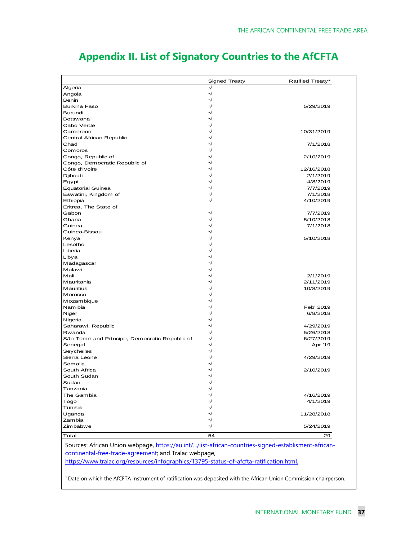|                                                                                                                                                              | Signed Treaty      | Ratified Treaty*     |
|--------------------------------------------------------------------------------------------------------------------------------------------------------------|--------------------|----------------------|
| Algeria                                                                                                                                                      | $\sqrt{}$          |                      |
| Angola                                                                                                                                                       | $\sqrt{}$          |                      |
| Benin                                                                                                                                                        | $\checkmark$       |                      |
| Burkina Faso                                                                                                                                                 |                    | 5/29/2019            |
| Burundi                                                                                                                                                      |                    |                      |
| Botswana                                                                                                                                                     |                    |                      |
| Cabo Verde                                                                                                                                                   |                    |                      |
| Cameroon                                                                                                                                                     |                    | 10/31/2019           |
| Central African Republic<br>Chad                                                                                                                             |                    |                      |
|                                                                                                                                                              |                    | 7/1/2018             |
| Comoros                                                                                                                                                      |                    | 2/10/2019            |
| Congo, Republic of                                                                                                                                           |                    |                      |
| Congo, Democratic Republic of<br>Côte d'Ivoire                                                                                                               |                    | 12/16/2018           |
|                                                                                                                                                              |                    |                      |
| Djibouti                                                                                                                                                     |                    | 2/1/2019<br>4/8/2019 |
| Egypt                                                                                                                                                        |                    | 7/7/2019             |
| <b>Equatorial Guinea</b><br>Eswatini, Kingdom of                                                                                                             |                    | 7/1/2018             |
| Ethiopia                                                                                                                                                     |                    | 4/10/2019            |
| Eritrea, The State of                                                                                                                                        |                    |                      |
| Gabon                                                                                                                                                        |                    | 7/7/2019             |
| Ghana                                                                                                                                                        |                    | 5/10/2018            |
| Guinea                                                                                                                                                       |                    | 7/1/2018             |
| Guinea-Bissau                                                                                                                                                |                    |                      |
| Kenya                                                                                                                                                        |                    | 5/10/2018            |
| Lesotho                                                                                                                                                      |                    |                      |
| Liberia                                                                                                                                                      |                    |                      |
| Libya                                                                                                                                                        |                    |                      |
| Madagascar                                                                                                                                                   |                    |                      |
| Malawi                                                                                                                                                       |                    |                      |
| Mali                                                                                                                                                         |                    | 2/1/2019             |
| Mauritania                                                                                                                                                   |                    | 2/11/2019            |
| Mauritius                                                                                                                                                    |                    | 10/8/2019            |
| Morocco                                                                                                                                                      |                    |                      |
| Mozambique                                                                                                                                                   |                    |                      |
| Namibia                                                                                                                                                      |                    | Feb' 2019            |
| Niger                                                                                                                                                        |                    | 6/8/2018             |
| Nigeria                                                                                                                                                      |                    |                      |
| Saharawi, Republic                                                                                                                                           |                    | 4/29/2019            |
| Rwanda                                                                                                                                                       |                    | 5/26/2018            |
| São Tomé and Príncipe, Democratic Republic of                                                                                                                | $\rightsquigarrow$ | 6/27/2019            |
| Senegal                                                                                                                                                      | $\rightsquigarrow$ | Apr '19              |
| Seychelles                                                                                                                                                   |                    |                      |
| Sierra Leone                                                                                                                                                 |                    | 4/29/2019            |
| Somalia                                                                                                                                                      |                    |                      |
| South Africa                                                                                                                                                 |                    | 2/10/2019            |
| South Sudan                                                                                                                                                  |                    |                      |
| Sudan                                                                                                                                                        |                    |                      |
| Tanzania                                                                                                                                                     | $\rightsquigarrow$ |                      |
| The Gambia                                                                                                                                                   |                    | 4/16/2019            |
| Togo                                                                                                                                                         |                    | 4/1/2019             |
| Tunisia                                                                                                                                                      |                    |                      |
| Uganda                                                                                                                                                       |                    | 11/28/2018           |
| Zambia                                                                                                                                                       |                    |                      |
| Zimbabwe                                                                                                                                                     |                    | 5/24/2019            |
| Total                                                                                                                                                        | 54                 | 29                   |
|                                                                                                                                                              |                    |                      |
|                                                                                                                                                              |                    |                      |
| Sources: African Union webpage, https://au.int//list-african-countries-signed-establisment-african-<br>continental-free-trade-agreement; and Tralac webpage, |                    |                      |

## **Appendix II. List of Signatory Countries to the AfCFTA**

<sup>1</sup> Date on which the AfCFTA instrument of ratification was deposited with the African Union Commission chairperson.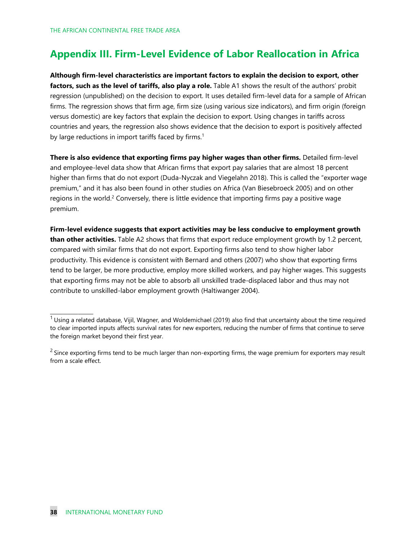## **Appendix III. Firm-Level Evidence of Labor Reallocation in Africa**

**Although firm-level characteristics are important factors to explain the decision to export, other factors, such as the level of tariffs, also play a role.** Table A1 shows the result of the authors' probit regression (unpublished) on the decision to export. It uses detailed firm-level data for a sample of African firms. The regression shows that firm age, firm size (using various size indicators), and firm origin (foreign versus domestic) are key factors that explain the decision to export. Using changes in tariffs across countries and years, the regression also shows evidence that the decision to export is positively affected by large reductions in import tariffs faced by firms.<sup>1</sup>

**There is also evidence that exporting firms pay higher wages than other firms.** Detailed firm-level and employee-level data show that African firms that export pay salaries that are almost 18 percent higher than firms that do not export (Duda-Nyczak and Viegelahn 2018). This is called the "exporter wage premium," and it has also been found in other studies on Africa (Van Biesebroeck 2005) and on other regions in the world.<sup>2</sup> Conversely, there is little evidence that importing firms pay a positive wage premium.

**Firm-level evidence suggests that export activities may be less conducive to employment growth than other activities.** Table A2 shows that firms that export reduce employment growth by 1.2 percent, compared with similar firms that do not export. Exporting firms also tend to show higher labor productivity. This evidence is consistent with Bernard and others (2007) who show that exporting firms tend to be larger, be more productive, employ more skilled workers, and pay higher wages. This suggests that exporting firms may not be able to absorb all unskilled trade-displaced labor and thus may not contribute to unskilled-labor employment growth (Haltiwanger 2004).

 $\overline{\phantom{a}}$  , which is a set of the set of the set of the set of the set of the set of the set of the set of the set of the set of the set of the set of the set of the set of the set of the set of the set of the set of th

 $1$ Using a related database, Vijil, Wagner, and Woldemichael (2019) also find that uncertainty about the time required to clear imported inputs affects survival rates for new exporters, reducing the number of firms that continue to serve the foreign market beyond their first year.

 $2$  Since exporting firms tend to be much larger than non-exporting firms, the wage premium for exporters may result from a scale effect.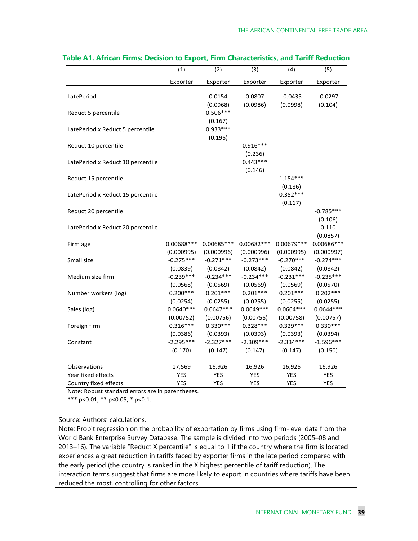|                                   | (1)<br>Exporter | (2)<br>(3)  |             | (4)         | (5)         |
|-----------------------------------|-----------------|-------------|-------------|-------------|-------------|
|                                   |                 | Exporter    | Exporter    | Exporter    | Exporter    |
| LatePeriod                        |                 | 0.0154      | 0.0807      | $-0.0435$   | $-0.0297$   |
|                                   |                 | (0.0968)    | (0.0986)    | (0.0998)    | (0.104)     |
| Reduct 5 percentile               |                 | $0.506***$  |             |             |             |
|                                   |                 | (0.167)     |             |             |             |
| LatePeriod x Reduct 5 percentile  |                 | $0.933***$  |             |             |             |
|                                   |                 | (0.196)     |             |             |             |
| Reduct 10 percentile              |                 |             | $0.916***$  |             |             |
|                                   |                 |             | (0.236)     |             |             |
| LatePeriod x Reduct 10 percentile |                 |             | $0.443***$  |             |             |
|                                   |                 |             | (0.146)     |             |             |
| Reduct 15 percentile              |                 |             |             | $1.154***$  |             |
|                                   |                 |             |             | (0.186)     |             |
| LatePeriod x Reduct 15 percentile |                 |             |             | $0.352***$  |             |
|                                   |                 |             |             | (0.117)     |             |
| Reduct 20 percentile              |                 |             |             |             | $-0.785***$ |
|                                   |                 |             |             |             | (0.106)     |
| LatePeriod x Reduct 20 percentile |                 |             |             |             | 0.110       |
|                                   |                 |             |             |             | (0.0857)    |
| Firm age                          | 0.00688***      | 0.00685 *** | 0.00682 *** | 0.00679 *** | 0.00686***  |
|                                   | (0.000995)      | (0.000996)  | (0.000996)  | (0.000995)  | (0.000997)  |
| Small size                        | $-0.275***$     | $-0.271***$ | $-0.273***$ | $-0.270***$ | $-0.274***$ |
|                                   | (0.0839)        | (0.0842)    | (0.0842)    | (0.0842)    | (0.0842)    |
| Medium size firm                  | $-0.239***$     | $-0.234***$ | $-0.234***$ | $-0.231***$ | $-0.235***$ |
|                                   | (0.0568)        | (0.0569)    | (0.0569)    | (0.0569)    | (0.0570)    |
| Number workers (log)              | $0.200***$      | $0.201***$  | $0.201***$  | $0.201***$  | $0.202***$  |
|                                   | (0.0254)        | (0.0255)    | (0.0255)    | (0.0255)    | (0.0255)    |
| Sales (log)                       | $0.0640***$     | $0.0647***$ | $0.0649***$ | $0.0664***$ | $0.0644***$ |
|                                   | (0.00752)       | (0.00756)   | (0.00756)   | (0.00758)   | (0.00757)   |
| Foreign firm                      | $0.316***$      | $0.330***$  | $0.328***$  | $0.329***$  | $0.330***$  |
|                                   | (0.0386)        | (0.0393)    | (0.0393)    | (0.0393)    | (0.0394)    |
| Constant                          | $-2.295***$     | $-2.327***$ | $-2.309***$ | $-2.334***$ | $-1.596***$ |
|                                   | (0.170)         | (0.147)     | (0.147)     | (0.147)     | (0.150)     |
| Observations                      | 17,569          | 16,926      | 16,926      | 16,926      | 16,926      |
| Year fixed effects                | <b>YES</b>      | <b>YES</b>  | <b>YES</b>  | <b>YES</b>  | <b>YES</b>  |
| Country fixed effects             | <b>YES</b>      | <b>YES</b>  | <b>YES</b>  | <b>YES</b>  | <b>YES</b>  |

Note: Robust standard errors are in parentheses.

\*\*\* p<0.01, \*\* p<0.05, \* p<0.1.

Source: Authors' calculations.

Note: Probit regression on the probability of exportation by firms using firm-level data from the World Bank Enterprise Survey Database. The sample is divided into two periods (2005–08 and 2013–16). The variable "Reduct X percentile" is equal to 1 if the country where the firm is located experiences a great reduction in tariffs faced by exporter firms in the late period compared with the early period (the country is ranked in the X highest percentile of tariff reduction). The interaction terms suggest that firms are more likely to export in countries where tariffs have been reduced the most, controlling for other factors.